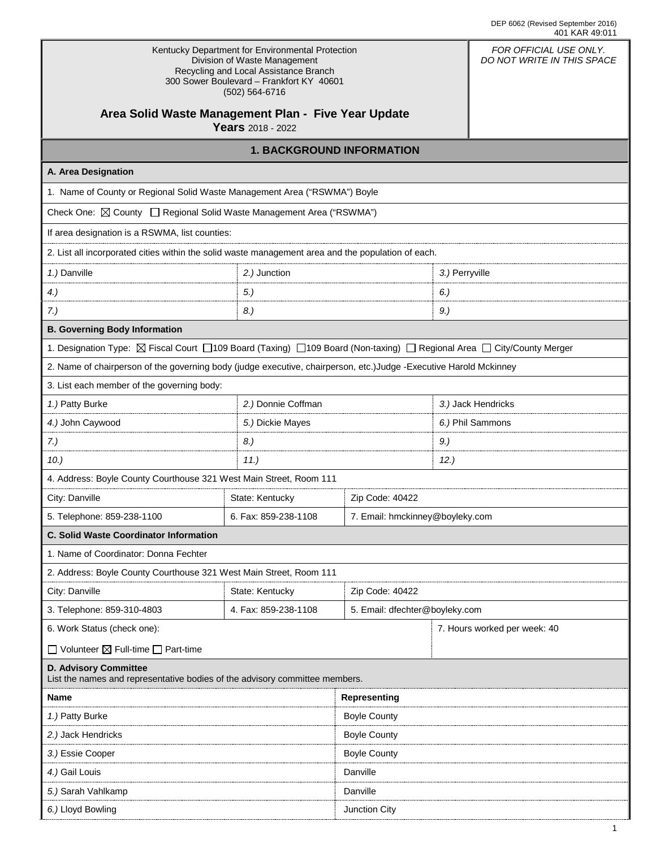| Kentucky Department for Environmental Protection<br>Division of Waste Management<br>Recycling and Local Assistance Branch<br>300 Sower Boulevard - Frankfort KY 40601<br>(502) 564-6716 | FOR OFFICIAL USE ONLY.<br>DO NOT WRITE IN THIS SPACE |                                 |                |                    |  |
|-----------------------------------------------------------------------------------------------------------------------------------------------------------------------------------------|------------------------------------------------------|---------------------------------|----------------|--------------------|--|
| Area Solid Waste Management Plan - Five Year Update<br>Years 2018 - 2022                                                                                                                |                                                      |                                 |                |                    |  |
| <b>1. BACKGROUND INFORMATION</b>                                                                                                                                                        |                                                      |                                 |                |                    |  |
| A. Area Designation                                                                                                                                                                     |                                                      |                                 |                |                    |  |
| 1. Name of County or Regional Solid Waste Management Area ("RSWMA") Boyle                                                                                                               |                                                      |                                 |                |                    |  |
| Check One: <b>△ County</b> □ Regional Solid Waste Management Area ("RSWMA")                                                                                                             |                                                      |                                 |                |                    |  |
| If area designation is a RSWMA, list counties:                                                                                                                                          |                                                      |                                 |                |                    |  |
| 2. List all incorporated cities within the solid waste management area and the population of each.                                                                                      |                                                      |                                 |                |                    |  |
| 1.) Danville                                                                                                                                                                            | 2.) Junction                                         |                                 | 3.) Perryville |                    |  |
| 4.                                                                                                                                                                                      | 5.)                                                  |                                 | 6.             |                    |  |
| 7.)                                                                                                                                                                                     | 8.)                                                  |                                 | 9.)            |                    |  |
| <b>B. Governing Body Information</b>                                                                                                                                                    |                                                      |                                 |                |                    |  |
| 1. Designation Type: ⊠ Fiscal Court □109 Board (Taxing) □109 Board (Non-taxing) □ Regional Area □ City/County Merger                                                                    |                                                      |                                 |                |                    |  |
| 2. Name of chairperson of the governing body (judge executive, chairperson, etc.)Judge -Executive Harold Mckinney                                                                       |                                                      |                                 |                |                    |  |
| 3. List each member of the governing body:                                                                                                                                              |                                                      |                                 |                |                    |  |
| 1.) Patty Burke                                                                                                                                                                         | 2.) Donnie Coffman                                   |                                 |                | 3.) Jack Hendricks |  |
| 4.) John Caywood                                                                                                                                                                        | 5.) Dickie Mayes                                     |                                 |                | 6.) Phil Sammons   |  |
| 7.)                                                                                                                                                                                     | 8.)                                                  |                                 | $9.$ )         |                    |  |
| 10.)<br>11.)                                                                                                                                                                            |                                                      |                                 | 12.            |                    |  |
| 4. Address: Boyle County Courthouse 321 West Main Street, Room 111                                                                                                                      |                                                      |                                 |                |                    |  |
| City: Danville                                                                                                                                                                          | State: Kentucky                                      | Zip Code: 40422                 |                |                    |  |
| 5. Telephone: 859-238-1100                                                                                                                                                              | 6. Fax: 859-238-1108                                 | 7. Email: hmckinney@boyleky.com |                |                    |  |
| <b>C. Solid Waste Coordinator Information</b>                                                                                                                                           |                                                      |                                 |                |                    |  |
| 1. Name of Coordinator: Donna Fechter                                                                                                                                                   |                                                      |                                 |                |                    |  |
| 2. Address: Boyle County Courthouse 321 West Main Street, Room 111                                                                                                                      |                                                      |                                 |                |                    |  |
| City: Danville                                                                                                                                                                          | State: Kentucky                                      | Zip Code: 40422                 |                |                    |  |
| 3. Telephone: 859-310-4803                                                                                                                                                              | 4. Fax: 859-238-1108                                 | 5. Email: dfechter@boyleky.com  |                |                    |  |
| 6. Work Status (check one):                                                                                                                                                             |                                                      | 7. Hours worked per week: 40    |                |                    |  |
| $\Box$ Volunteer $\boxtimes$ Full-time $\Box$ Part-time                                                                                                                                 |                                                      |                                 |                |                    |  |
| <b>D. Advisory Committee</b><br>List the names and representative bodies of the advisory committee members.                                                                             |                                                      |                                 |                |                    |  |
| Representing<br><b>Name</b>                                                                                                                                                             |                                                      |                                 |                |                    |  |
| 1.) Patty Burke                                                                                                                                                                         | <b>Boyle County</b>                                  |                                 |                |                    |  |
| 2.) Jack Hendricks                                                                                                                                                                      | <b>Boyle County</b>                                  |                                 |                |                    |  |
| 3.) Essie Cooper                                                                                                                                                                        |                                                      | <b>Boyle County</b>             |                |                    |  |
| 4.) Gail Louis                                                                                                                                                                          |                                                      | Danville                        |                |                    |  |
| 5.) Sarah Vahlkamp                                                                                                                                                                      |                                                      | Danville                        |                |                    |  |
| 6.) Lloyd Bowling                                                                                                                                                                       | Junction City                                        |                                 |                |                    |  |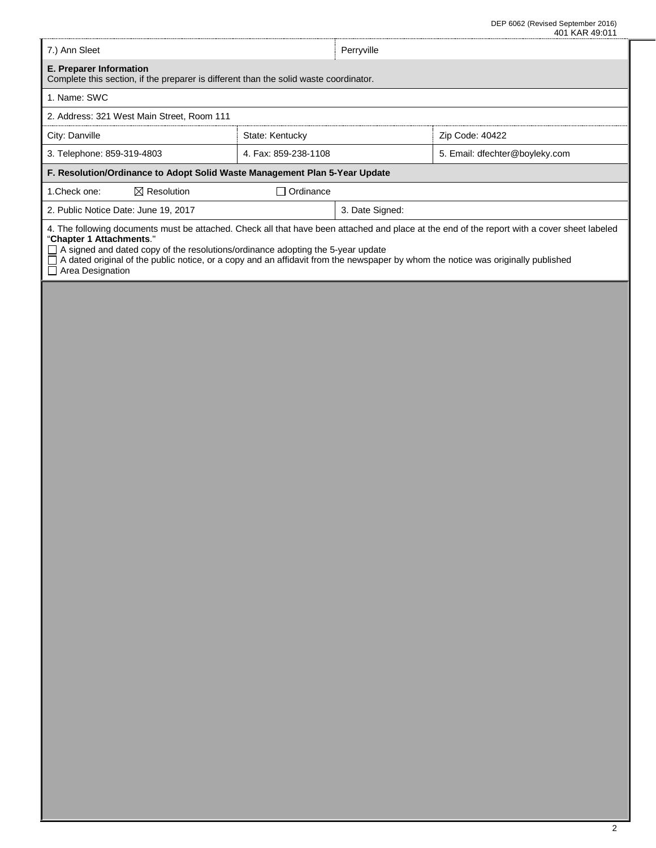DEP 6062 (Revised September 2016) 401 KAR 49:011

| 7.) Ann Sleet                                                                                                                                                                                                                                                                                                                                                                                                                     |                                                        | Perryville      |                 |  |  |  |
|-----------------------------------------------------------------------------------------------------------------------------------------------------------------------------------------------------------------------------------------------------------------------------------------------------------------------------------------------------------------------------------------------------------------------------------|--------------------------------------------------------|-----------------|-----------------|--|--|--|
| E. Preparer Information<br>Complete this section, if the preparer is different than the solid waste coordinator.                                                                                                                                                                                                                                                                                                                  |                                                        |                 |                 |  |  |  |
| 1. Name: SWC                                                                                                                                                                                                                                                                                                                                                                                                                      |                                                        |                 |                 |  |  |  |
| 2. Address: 321 West Main Street, Room 111                                                                                                                                                                                                                                                                                                                                                                                        |                                                        |                 |                 |  |  |  |
| City: Danville                                                                                                                                                                                                                                                                                                                                                                                                                    | State: Kentucky                                        |                 | Zip Code: 40422 |  |  |  |
| 3. Telephone: 859-319-4803                                                                                                                                                                                                                                                                                                                                                                                                        | 4. Fax: 859-238-1108<br>5. Email: dfechter@boyleky.com |                 |                 |  |  |  |
| F. Resolution/Ordinance to Adopt Solid Waste Management Plan 5-Year Update                                                                                                                                                                                                                                                                                                                                                        |                                                        |                 |                 |  |  |  |
| $\boxtimes$ Resolution<br>1. Check one:                                                                                                                                                                                                                                                                                                                                                                                           | $\Box$ Ordinance                                       |                 |                 |  |  |  |
| 2. Public Notice Date: June 19, 2017                                                                                                                                                                                                                                                                                                                                                                                              |                                                        | 3. Date Signed: |                 |  |  |  |
| 4. The following documents must be attached. Check all that have been attached and place at the end of the report with a cover sheet labeled<br>"Chapter 1 Attachments."<br>$\Box$ A signed and dated copy of the resolutions/ordinance adopting the 5-year update<br>$\Box$ A dated original of the public notice, or a copy and an affidavit from the newspaper by whom the notice was originally published<br>Area Designation |                                                        |                 |                 |  |  |  |

r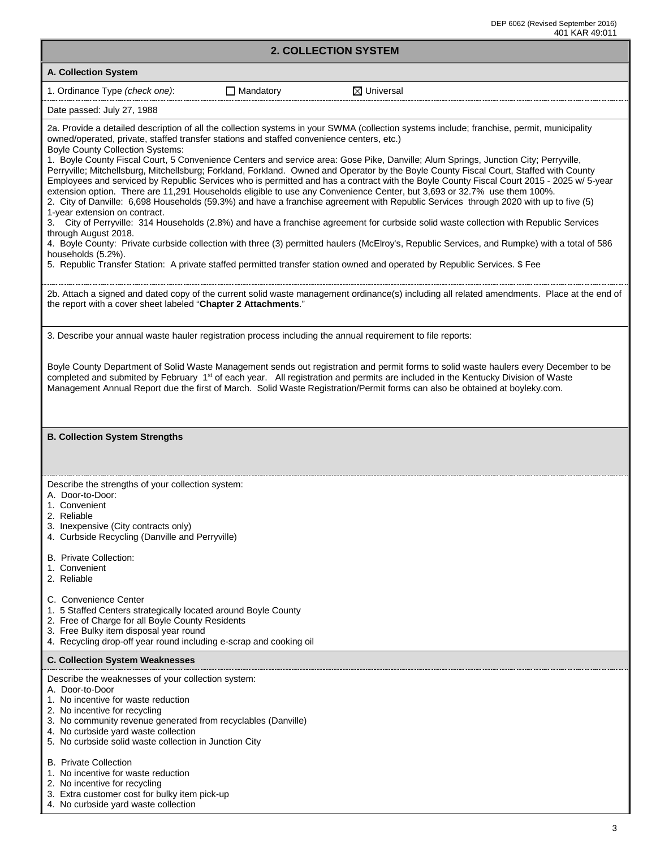|                                                                                                                                                                                                                                                                                                                                                                                                                                                                                                                                                                                                                                                                                                                                                                                                                                                                                                                                                                                                                                                                                                                                                                                                                                                                                                                                                                                                                                                                                           | 40 I NAN 49.01 |
|-------------------------------------------------------------------------------------------------------------------------------------------------------------------------------------------------------------------------------------------------------------------------------------------------------------------------------------------------------------------------------------------------------------------------------------------------------------------------------------------------------------------------------------------------------------------------------------------------------------------------------------------------------------------------------------------------------------------------------------------------------------------------------------------------------------------------------------------------------------------------------------------------------------------------------------------------------------------------------------------------------------------------------------------------------------------------------------------------------------------------------------------------------------------------------------------------------------------------------------------------------------------------------------------------------------------------------------------------------------------------------------------------------------------------------------------------------------------------------------------|----------------|
| <b>2. COLLECTION SYSTEM</b>                                                                                                                                                                                                                                                                                                                                                                                                                                                                                                                                                                                                                                                                                                                                                                                                                                                                                                                                                                                                                                                                                                                                                                                                                                                                                                                                                                                                                                                               |                |
| A. Collection System                                                                                                                                                                                                                                                                                                                                                                                                                                                                                                                                                                                                                                                                                                                                                                                                                                                                                                                                                                                                                                                                                                                                                                                                                                                                                                                                                                                                                                                                      |                |
| $\boxtimes$ Universal<br>1. Ordinance Type (check one):<br>$\Box$ Mandatory                                                                                                                                                                                                                                                                                                                                                                                                                                                                                                                                                                                                                                                                                                                                                                                                                                                                                                                                                                                                                                                                                                                                                                                                                                                                                                                                                                                                               |                |
| Date passed: July 27, 1988                                                                                                                                                                                                                                                                                                                                                                                                                                                                                                                                                                                                                                                                                                                                                                                                                                                                                                                                                                                                                                                                                                                                                                                                                                                                                                                                                                                                                                                                |                |
| 2a. Provide a detailed description of all the collection systems in your SWMA (collection systems include; franchise, permit, municipality<br>owned/operated, private, staffed transfer stations and staffed convenience centers, etc.)<br><b>Boyle County Collection Systems:</b><br>1. Boyle County Fiscal Court, 5 Convenience Centers and service area: Gose Pike, Danville; Alum Springs, Junction City; Perryville,<br>Perryville; Mitchellsburg, Mitchellsburg; Forkland, Forkland. Owned and Operator by the Boyle County Fiscal Court, Staffed with County<br>Employees and serviced by Republic Services who is permitted and has a contract with the Boyle County Fiscal Court 2015 - 2025 w/ 5-year<br>extension option. There are 11,291 Households eligible to use any Convenience Center, but 3,693 or 32.7% use them 100%.<br>2. City of Danville: 6,698 Households (59.3%) and have a franchise agreement with Republic Services through 2020 with up to five (5)<br>1-year extension on contract.<br>3. City of Perryville: 314 Households (2.8%) and have a franchise agreement for curbside solid waste collection with Republic Services<br>through August 2018.<br>4. Boyle County: Private curbside collection with three (3) permitted haulers (McElroy's, Republic Services, and Rumpke) with a total of 586<br>households (5.2%).<br>5. Republic Transfer Station: A private staffed permitted transfer station owned and operated by Republic Services. \$ Fee |                |
| 2b. Attach a signed and dated copy of the current solid waste management ordinance(s) including all related amendments. Place at the end of<br>the report with a cover sheet labeled "Chapter 2 Attachments."                                                                                                                                                                                                                                                                                                                                                                                                                                                                                                                                                                                                                                                                                                                                                                                                                                                                                                                                                                                                                                                                                                                                                                                                                                                                             |                |
| 3. Describe your annual waste hauler registration process including the annual requirement to file reports:                                                                                                                                                                                                                                                                                                                                                                                                                                                                                                                                                                                                                                                                                                                                                                                                                                                                                                                                                                                                                                                                                                                                                                                                                                                                                                                                                                               |                |
| Boyle County Department of Solid Waste Management sends out registration and permit forms to solid waste haulers every December to be<br>completed and submited by February 1 <sup>st</sup> of each year. All registration and permits are included in the Kentucky Division of Waste<br>Management Annual Report due the first of March. Solid Waste Registration/Permit forms can also be obtained at boyleky.com.                                                                                                                                                                                                                                                                                                                                                                                                                                                                                                                                                                                                                                                                                                                                                                                                                                                                                                                                                                                                                                                                      |                |
| <b>B. Collection System Strengths</b>                                                                                                                                                                                                                                                                                                                                                                                                                                                                                                                                                                                                                                                                                                                                                                                                                                                                                                                                                                                                                                                                                                                                                                                                                                                                                                                                                                                                                                                     |                |
| Describe the strengths of your collection system:<br>A. Door-to-Door:<br>1. Convenient<br>2. Reliable<br>3. Inexpensive (City contracts only)<br>4. Curbside Recycling (Danville and Perryville)<br>B. Private Collection:                                                                                                                                                                                                                                                                                                                                                                                                                                                                                                                                                                                                                                                                                                                                                                                                                                                                                                                                                                                                                                                                                                                                                                                                                                                                |                |
| 1. Convenient<br>2. Reliable                                                                                                                                                                                                                                                                                                                                                                                                                                                                                                                                                                                                                                                                                                                                                                                                                                                                                                                                                                                                                                                                                                                                                                                                                                                                                                                                                                                                                                                              |                |
| C. Convenience Center<br>1. 5 Staffed Centers strategically located around Boyle County<br>2. Free of Charge for all Boyle County Residents<br>3. Free Bulky item disposal year round<br>4. Recycling drop-off year round including e-scrap and cooking oil                                                                                                                                                                                                                                                                                                                                                                                                                                                                                                                                                                                                                                                                                                                                                                                                                                                                                                                                                                                                                                                                                                                                                                                                                               |                |
| <b>C. Collection System Weaknesses</b>                                                                                                                                                                                                                                                                                                                                                                                                                                                                                                                                                                                                                                                                                                                                                                                                                                                                                                                                                                                                                                                                                                                                                                                                                                                                                                                                                                                                                                                    |                |
| Describe the weaknesses of your collection system:<br>A. Door-to-Door<br>1. No incentive for waste reduction<br>2. No incentive for recycling<br>3. No community revenue generated from recyclables (Danville)<br>4. No curbside yard waste collection<br>5. No curbside solid waste collection in Junction City<br><b>B.</b> Private Collection<br>1. No incentive for waste reduction                                                                                                                                                                                                                                                                                                                                                                                                                                                                                                                                                                                                                                                                                                                                                                                                                                                                                                                                                                                                                                                                                                   |                |
| 2. No incentive for recycling                                                                                                                                                                                                                                                                                                                                                                                                                                                                                                                                                                                                                                                                                                                                                                                                                                                                                                                                                                                                                                                                                                                                                                                                                                                                                                                                                                                                                                                             |                |

- 3. Extra customer cost for bulky item pick-up
- 4. No curbside yard waste collection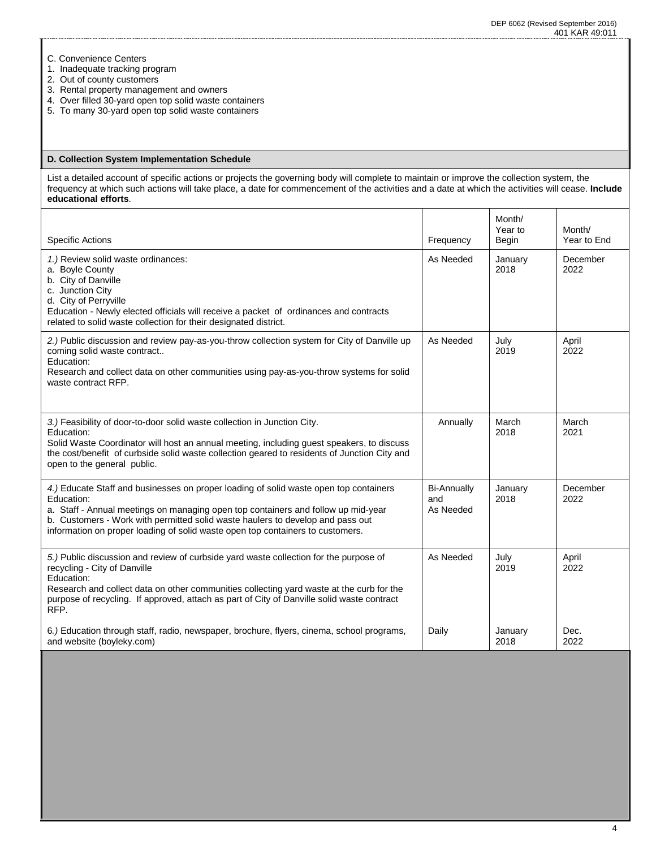- C. Convenience Centers
- 1. Inadequate tracking program
- 2. Out of county customers
- 3. Rental property management and owners
- 4. Over filled 30-yard open top solid waste containers
- 5. To many 30-yard open top solid waste containers

### **D. Collection System Implementation Schedule**

List a detailed account of specific actions or projects the governing body will complete to maintain or improve the collection system, the frequency at which such actions will take place, a date for commencement of the activities and a date at which the activities will cease. **Include educational efforts**.

| <b>Specific Actions</b>                                                                                                                                                                                                                                                                                                                                      | Frequency                              | Month/<br>Year to<br>Begin | Month/<br>Year to End |
|--------------------------------------------------------------------------------------------------------------------------------------------------------------------------------------------------------------------------------------------------------------------------------------------------------------------------------------------------------------|----------------------------------------|----------------------------|-----------------------|
| 1.) Review solid waste ordinances:<br>a. Boyle County<br>b. City of Danville<br>c. Junction City<br>d. City of Perryville<br>Education - Newly elected officials will receive a packet of ordinances and contracts<br>related to solid waste collection for their designated district.                                                                       | As Needed                              | January<br>2018            | December<br>2022      |
| 2.) Public discussion and review pay-as-you-throw collection system for City of Danville up<br>coming solid waste contract<br>Education:<br>Research and collect data on other communities using pay-as-you-throw systems for solid<br>waste contract RFP.                                                                                                   | As Needed                              | July<br>2019               | April<br>2022         |
| 3.) Feasibility of door-to-door solid waste collection in Junction City.<br>Education:<br>Solid Waste Coordinator will host an annual meeting, including guest speakers, to discuss<br>the cost/benefit of curbside solid waste collection geared to residents of Junction City and<br>open to the general public.                                           | Annually                               | March<br>2018              | March<br>2021         |
| 4.) Educate Staff and businesses on proper loading of solid waste open top containers<br>Education:<br>a. Staff - Annual meetings on managing open top containers and follow up mid-year<br>b. Customers - Work with permitted solid waste haulers to develop and pass out<br>information on proper loading of solid waste open top containers to customers. | <b>Bi-Annually</b><br>and<br>As Needed | January<br>2018            | December<br>2022      |
| 5.) Public discussion and review of curbside yard waste collection for the purpose of<br>recycling - City of Danville<br>Education:<br>Research and collect data on other communities collecting yard waste at the curb for the<br>purpose of recycling. If approved, attach as part of City of Danville solid waste contract<br>RFP.                        | As Needed                              | July<br>2019               | April<br>2022         |
| 6.) Education through staff, radio, newspaper, brochure, flyers, cinema, school programs,<br>and website (boyleky.com)                                                                                                                                                                                                                                       | Daily                                  | January<br>2018            | Dec.<br>2022          |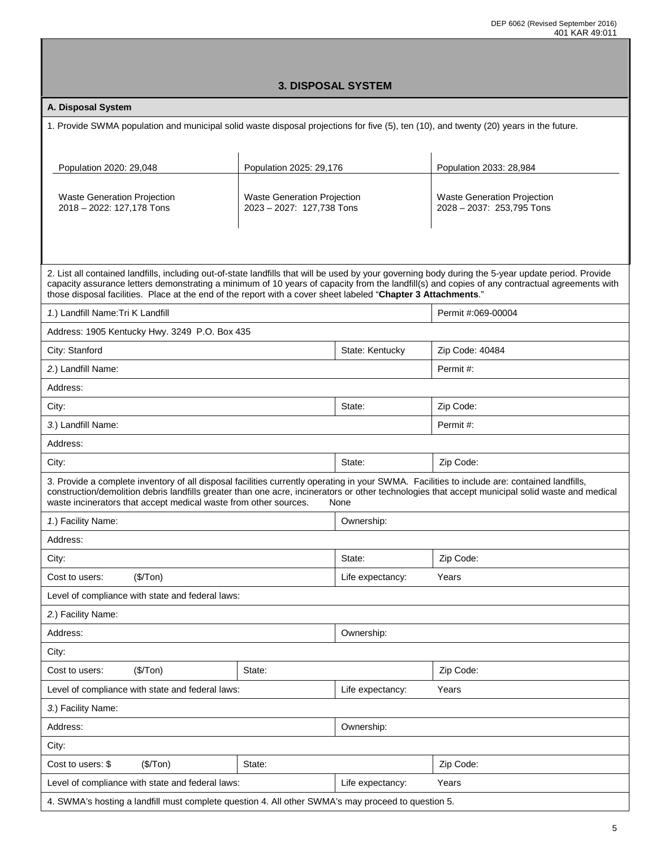| <b>3. DISPOSAL SYSTEM</b>                                                                                                                                                                                                                                                                                                                                            |                                                                 |                  |                                                                 |  |  |
|----------------------------------------------------------------------------------------------------------------------------------------------------------------------------------------------------------------------------------------------------------------------------------------------------------------------------------------------------------------------|-----------------------------------------------------------------|------------------|-----------------------------------------------------------------|--|--|
| A. Disposal System                                                                                                                                                                                                                                                                                                                                                   |                                                                 |                  |                                                                 |  |  |
| 1. Provide SWMA population and municipal solid waste disposal projections for five (5), ten (10), and twenty (20) years in the future.                                                                                                                                                                                                                               |                                                                 |                  |                                                                 |  |  |
|                                                                                                                                                                                                                                                                                                                                                                      |                                                                 |                  |                                                                 |  |  |
| Population 2020: 29,048                                                                                                                                                                                                                                                                                                                                              | Population 2025: 29,176                                         |                  | Population 2033: 28,984                                         |  |  |
|                                                                                                                                                                                                                                                                                                                                                                      |                                                                 |                  |                                                                 |  |  |
| <b>Waste Generation Projection</b><br>2018 - 2022: 127,178 Tons                                                                                                                                                                                                                                                                                                      | <b>Waste Generation Projection</b><br>2023 - 2027: 127,738 Tons |                  | <b>Waste Generation Projection</b><br>2028 - 2037: 253,795 Tons |  |  |
|                                                                                                                                                                                                                                                                                                                                                                      |                                                                 |                  |                                                                 |  |  |
|                                                                                                                                                                                                                                                                                                                                                                      |                                                                 |                  |                                                                 |  |  |
| 2. List all contained landfills, including out-of-state landfills that will be used by your governing body during the 5-year update period. Provide                                                                                                                                                                                                                  |                                                                 |                  |                                                                 |  |  |
| capacity assurance letters demonstrating a minimum of 10 years of capacity from the landfill(s) and copies of any contractual agreements with<br>those disposal facilities. Place at the end of the report with a cover sheet labeled "Chapter 3 Attachments."                                                                                                       |                                                                 |                  |                                                                 |  |  |
| 1.) Landfill Name: Tri K Landfill                                                                                                                                                                                                                                                                                                                                    |                                                                 |                  | Permit #:069-00004                                              |  |  |
| Address: 1905 Kentucky Hwy. 3249 P.O. Box 435                                                                                                                                                                                                                                                                                                                        |                                                                 |                  |                                                                 |  |  |
| City: Stanford                                                                                                                                                                                                                                                                                                                                                       |                                                                 | State: Kentucky  | Zip Code: 40484                                                 |  |  |
| 2.) Landfill Name:                                                                                                                                                                                                                                                                                                                                                   |                                                                 |                  | Permit#:                                                        |  |  |
| Address:                                                                                                                                                                                                                                                                                                                                                             |                                                                 |                  |                                                                 |  |  |
| City:                                                                                                                                                                                                                                                                                                                                                                |                                                                 | State:           | Zip Code:                                                       |  |  |
| 3.) Landfill Name:                                                                                                                                                                                                                                                                                                                                                   |                                                                 |                  | Permit #:                                                       |  |  |
| Address:                                                                                                                                                                                                                                                                                                                                                             |                                                                 |                  |                                                                 |  |  |
| City:                                                                                                                                                                                                                                                                                                                                                                | State:<br>Zip Code:                                             |                  |                                                                 |  |  |
| 3. Provide a complete inventory of all disposal facilities currently operating in your SWMA. Facilities to include are: contained landfills,<br>construction/demolition debris landfills greater than one acre, incinerators or other technologies that accept municipal solid waste and medical<br>waste incinerators that accept medical waste from other sources. |                                                                 | None             |                                                                 |  |  |
| 1.) Facility Name:                                                                                                                                                                                                                                                                                                                                                   |                                                                 | Ownership:       |                                                                 |  |  |
| Address:                                                                                                                                                                                                                                                                                                                                                             |                                                                 |                  |                                                                 |  |  |
| City:                                                                                                                                                                                                                                                                                                                                                                |                                                                 | State:           | Zip Code:                                                       |  |  |
| Cost to users:<br>(\$/Top)                                                                                                                                                                                                                                                                                                                                           |                                                                 | Life expectancy: | Years                                                           |  |  |
| Level of compliance with state and federal laws:                                                                                                                                                                                                                                                                                                                     |                                                                 |                  |                                                                 |  |  |
| 2.) Facility Name:                                                                                                                                                                                                                                                                                                                                                   |                                                                 |                  |                                                                 |  |  |
| Address:                                                                                                                                                                                                                                                                                                                                                             |                                                                 | Ownership:       |                                                                 |  |  |
| City:                                                                                                                                                                                                                                                                                                                                                                |                                                                 |                  |                                                                 |  |  |
| (\$/ Ton)<br>Cost to users:                                                                                                                                                                                                                                                                                                                                          | State:                                                          |                  | Zip Code:                                                       |  |  |
| Level of compliance with state and federal laws:                                                                                                                                                                                                                                                                                                                     |                                                                 | Life expectancy: | Years                                                           |  |  |
| 3.) Facility Name:                                                                                                                                                                                                                                                                                                                                                   |                                                                 |                  |                                                                 |  |  |
| Address:                                                                                                                                                                                                                                                                                                                                                             |                                                                 | Ownership:       |                                                                 |  |  |
| City:                                                                                                                                                                                                                                                                                                                                                                |                                                                 |                  |                                                                 |  |  |
| Cost to users: \$<br>(\$/ Ton)                                                                                                                                                                                                                                                                                                                                       | State:                                                          |                  | Zip Code:                                                       |  |  |
| Level of compliance with state and federal laws:                                                                                                                                                                                                                                                                                                                     |                                                                 | Life expectancy: | Years                                                           |  |  |

4. SWMA's hosting a landfill must complete question 4. All other SWMA's may proceed to question 5.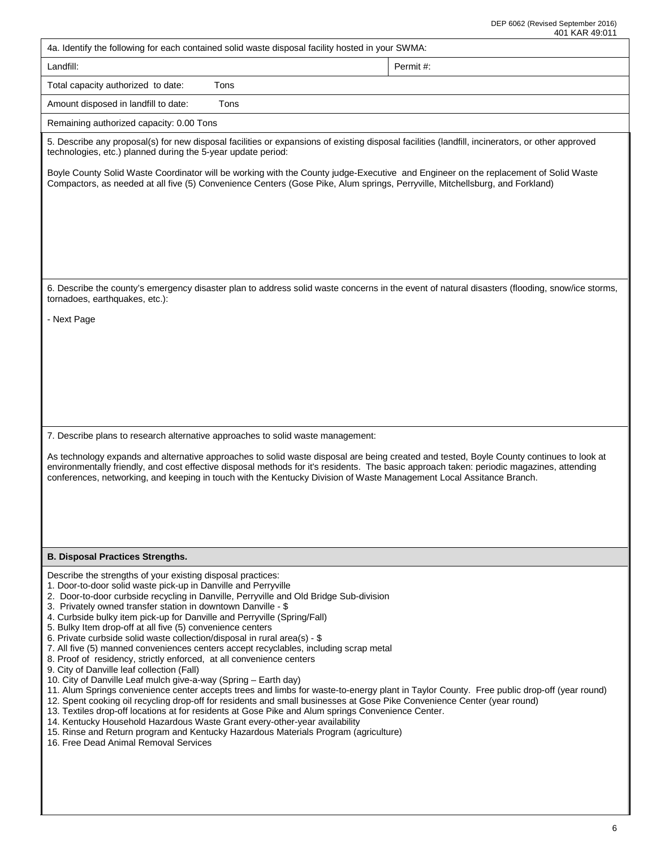|                                                                                                                                                                                                                                                                                                                                                                                                                                                                                                                                                                                                                                                                                                                                                                                                                                                                                                                                                                                                                                                                                                                                                                                                                                                                                                                                                                                                | 401 NAR 49.011 |
|------------------------------------------------------------------------------------------------------------------------------------------------------------------------------------------------------------------------------------------------------------------------------------------------------------------------------------------------------------------------------------------------------------------------------------------------------------------------------------------------------------------------------------------------------------------------------------------------------------------------------------------------------------------------------------------------------------------------------------------------------------------------------------------------------------------------------------------------------------------------------------------------------------------------------------------------------------------------------------------------------------------------------------------------------------------------------------------------------------------------------------------------------------------------------------------------------------------------------------------------------------------------------------------------------------------------------------------------------------------------------------------------|----------------|
| 4a. Identify the following for each contained solid waste disposal facility hosted in your SWMA:                                                                                                                                                                                                                                                                                                                                                                                                                                                                                                                                                                                                                                                                                                                                                                                                                                                                                                                                                                                                                                                                                                                                                                                                                                                                                               |                |
| Landfill:                                                                                                                                                                                                                                                                                                                                                                                                                                                                                                                                                                                                                                                                                                                                                                                                                                                                                                                                                                                                                                                                                                                                                                                                                                                                                                                                                                                      | Permit #:      |
| Total capacity authorized to date:<br>Tons                                                                                                                                                                                                                                                                                                                                                                                                                                                                                                                                                                                                                                                                                                                                                                                                                                                                                                                                                                                                                                                                                                                                                                                                                                                                                                                                                     |                |
| Amount disposed in landfill to date:<br>Tons                                                                                                                                                                                                                                                                                                                                                                                                                                                                                                                                                                                                                                                                                                                                                                                                                                                                                                                                                                                                                                                                                                                                                                                                                                                                                                                                                   |                |
| Remaining authorized capacity: 0.00 Tons                                                                                                                                                                                                                                                                                                                                                                                                                                                                                                                                                                                                                                                                                                                                                                                                                                                                                                                                                                                                                                                                                                                                                                                                                                                                                                                                                       |                |
| 5. Describe any proposal(s) for new disposal facilities or expansions of existing disposal facilities (landfill, incinerators, or other approved<br>technologies, etc.) planned during the 5-year update period:                                                                                                                                                                                                                                                                                                                                                                                                                                                                                                                                                                                                                                                                                                                                                                                                                                                                                                                                                                                                                                                                                                                                                                               |                |
| Boyle County Solid Waste Coordinator will be working with the County judge-Executive and Engineer on the replacement of Solid Waste<br>Compactors, as needed at all five (5) Convenience Centers (Gose Pike, Alum springs, Perryville, Mitchellsburg, and Forkland)                                                                                                                                                                                                                                                                                                                                                                                                                                                                                                                                                                                                                                                                                                                                                                                                                                                                                                                                                                                                                                                                                                                            |                |
|                                                                                                                                                                                                                                                                                                                                                                                                                                                                                                                                                                                                                                                                                                                                                                                                                                                                                                                                                                                                                                                                                                                                                                                                                                                                                                                                                                                                |                |
| 6. Describe the county's emergency disaster plan to address solid waste concerns in the event of natural disasters (flooding, snow/ice storms,<br>tornadoes, earthquakes, etc.):                                                                                                                                                                                                                                                                                                                                                                                                                                                                                                                                                                                                                                                                                                                                                                                                                                                                                                                                                                                                                                                                                                                                                                                                               |                |
| - Next Page                                                                                                                                                                                                                                                                                                                                                                                                                                                                                                                                                                                                                                                                                                                                                                                                                                                                                                                                                                                                                                                                                                                                                                                                                                                                                                                                                                                    |                |
|                                                                                                                                                                                                                                                                                                                                                                                                                                                                                                                                                                                                                                                                                                                                                                                                                                                                                                                                                                                                                                                                                                                                                                                                                                                                                                                                                                                                |                |
| 7. Describe plans to research alternative approaches to solid waste management:                                                                                                                                                                                                                                                                                                                                                                                                                                                                                                                                                                                                                                                                                                                                                                                                                                                                                                                                                                                                                                                                                                                                                                                                                                                                                                                |                |
| As technology expands and alternative approaches to solid waste disposal are being created and tested, Boyle County continues to look at<br>environmentally friendly, and cost effective disposal methods for it's residents. The basic approach taken: periodic magazines, attending<br>conferences, networking, and keeping in touch with the Kentucky Division of Waste Management Local Assitance Branch.                                                                                                                                                                                                                                                                                                                                                                                                                                                                                                                                                                                                                                                                                                                                                                                                                                                                                                                                                                                  |                |
| <b>B. Disposal Practices Strengths.</b>                                                                                                                                                                                                                                                                                                                                                                                                                                                                                                                                                                                                                                                                                                                                                                                                                                                                                                                                                                                                                                                                                                                                                                                                                                                                                                                                                        |                |
| Describe the strengths of your existing disposal practices:<br>1. Door-to-door solid waste pick-up in Danville and Perryville<br>2. Door-to-door curbside recycling in Danville, Perryville and Old Bridge Sub-division<br>3. Privately owned transfer station in downtown Danville - \$<br>4. Curbside bulky item pick-up for Danville and Perryville (Spring/Fall)<br>5. Bulky Item drop-off at all five (5) convenience centers<br>6. Private curbside solid waste collection/disposal in rural area(s) - \$<br>7. All five (5) manned conveniences centers accept recyclables, including scrap metal<br>8. Proof of residency, strictly enforced, at all convenience centers<br>9. City of Danville leaf collection (Fall)<br>10. City of Danville Leaf mulch give-a-way (Spring - Earth day)<br>11. Alum Springs convenience center accepts trees and limbs for waste-to-energy plant in Taylor County. Free public drop-off (year round)<br>12. Spent cooking oil recycling drop-off for residents and small businesses at Gose Pike Convenience Center (year round)<br>13. Textiles drop-off locations at for residents at Gose Pike and Alum springs Convenience Center.<br>14. Kentucky Household Hazardous Waste Grant every-other-year availability<br>15. Rinse and Return program and Kentucky Hazardous Materials Program (agriculture)<br>16. Free Dead Animal Removal Services |                |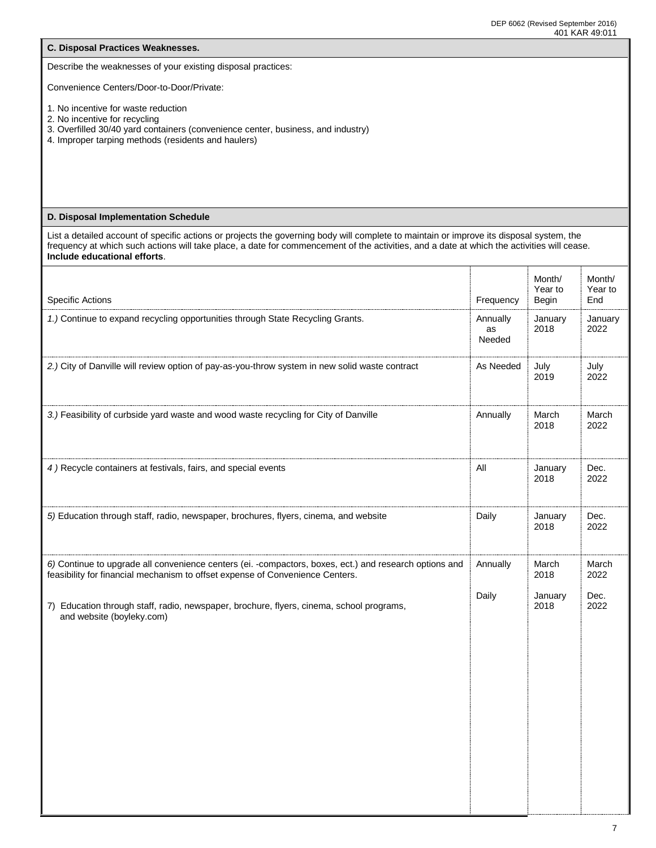| C. Disposal Practices Weaknesses.                                                                                                                                                                                                                                                                                      |                       |                   |                   |
|------------------------------------------------------------------------------------------------------------------------------------------------------------------------------------------------------------------------------------------------------------------------------------------------------------------------|-----------------------|-------------------|-------------------|
| Describe the weaknesses of your existing disposal practices:                                                                                                                                                                                                                                                           |                       |                   |                   |
| Convenience Centers/Door-to-Door/Private:                                                                                                                                                                                                                                                                              |                       |                   |                   |
| 1. No incentive for waste reduction<br>2. No incentive for recycling<br>3. Overfilled 30/40 yard containers (convenience center, business, and industry)<br>4. Improper tarping methods (residents and haulers)                                                                                                        |                       |                   |                   |
| D. Disposal Implementation Schedule                                                                                                                                                                                                                                                                                    |                       |                   |                   |
| List a detailed account of specific actions or projects the governing body will complete to maintain or improve its disposal system, the<br>frequency at which such actions will take place, a date for commencement of the activities, and a date at which the activities will cease.<br>Include educational efforts. |                       |                   |                   |
|                                                                                                                                                                                                                                                                                                                        |                       | Month/<br>Year to | Month/<br>Year to |
| <b>Specific Actions</b><br>1.) Continue to expand recycling opportunities through State Recycling Grants.                                                                                                                                                                                                              | Frequency<br>Annually | Begin<br>January  | End<br>January    |
|                                                                                                                                                                                                                                                                                                                        | as<br>Needed          | 2018              | 2022              |
| 2.) City of Danville will review option of pay-as-you-throw system in new solid waste contract                                                                                                                                                                                                                         | As Needed             | July<br>2019      | July<br>2022      |
| 3.) Feasibility of curbside yard waste and wood waste recycling for City of Danville                                                                                                                                                                                                                                   | Annually              | March<br>2018     | March<br>2022     |
| 4) Recycle containers at festivals, fairs, and special events                                                                                                                                                                                                                                                          | All                   | January<br>2018   | Dec.<br>2022      |
| 5) Education through staff, radio, newspaper, brochures, flyers, cinema, and website                                                                                                                                                                                                                                   | Daily                 | January<br>2018   | Dec.<br>2022      |
| 6) Continue to upgrade all convenience centers (ei. -compactors, boxes, ect.) and research options and<br>feasibility for financial mechanism to offset expense of Convenience Centers.                                                                                                                                | Annually              | March<br>2018     | March<br>2022     |
| 7) Education through staff, radio, newspaper, brochure, flyers, cinema, school programs,<br>and website (boyleky.com)                                                                                                                                                                                                  | Daily                 | January<br>2018   | Dec.<br>2022      |
|                                                                                                                                                                                                                                                                                                                        |                       |                   |                   |
|                                                                                                                                                                                                                                                                                                                        |                       |                   |                   |
|                                                                                                                                                                                                                                                                                                                        |                       |                   |                   |
|                                                                                                                                                                                                                                                                                                                        |                       |                   |                   |
|                                                                                                                                                                                                                                                                                                                        |                       |                   |                   |
|                                                                                                                                                                                                                                                                                                                        |                       |                   |                   |
|                                                                                                                                                                                                                                                                                                                        |                       |                   |                   |
|                                                                                                                                                                                                                                                                                                                        |                       |                   |                   |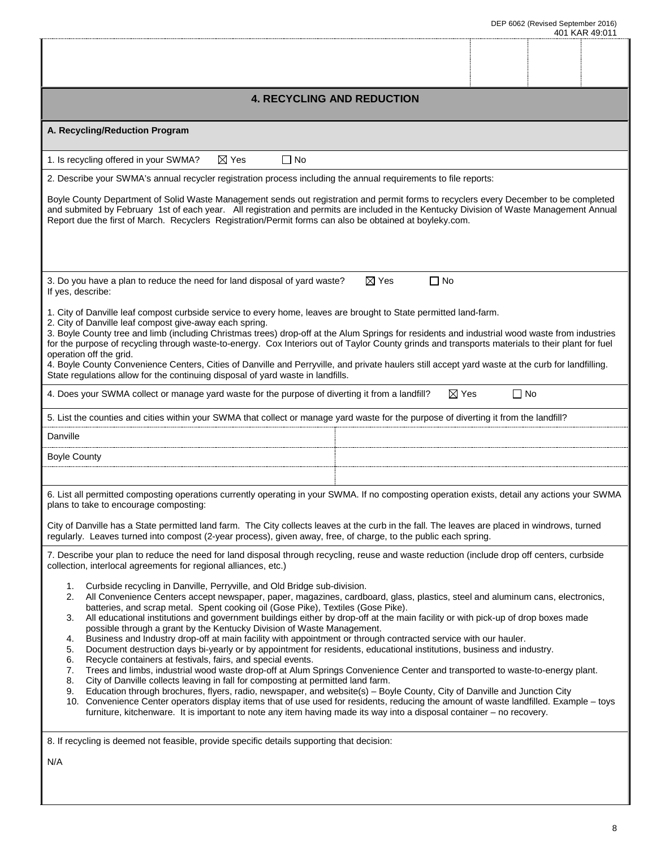| <b>4. RECYCLING AND REDUCTION</b>                                                                                                                                                                                                                                                                                                                                                                                                                                                                                                                                                                                                                                                                                                                                                                                                                                                                                                                                                                                                                                                                                                                                                                                                                                                                                                                                                                                                                                                               |                              |           |  |  |
|-------------------------------------------------------------------------------------------------------------------------------------------------------------------------------------------------------------------------------------------------------------------------------------------------------------------------------------------------------------------------------------------------------------------------------------------------------------------------------------------------------------------------------------------------------------------------------------------------------------------------------------------------------------------------------------------------------------------------------------------------------------------------------------------------------------------------------------------------------------------------------------------------------------------------------------------------------------------------------------------------------------------------------------------------------------------------------------------------------------------------------------------------------------------------------------------------------------------------------------------------------------------------------------------------------------------------------------------------------------------------------------------------------------------------------------------------------------------------------------------------|------------------------------|-----------|--|--|
| A. Recycling/Reduction Program                                                                                                                                                                                                                                                                                                                                                                                                                                                                                                                                                                                                                                                                                                                                                                                                                                                                                                                                                                                                                                                                                                                                                                                                                                                                                                                                                                                                                                                                  |                              |           |  |  |
| $\boxtimes$ Yes<br>$\Box$ No<br>1. Is recycling offered in your SWMA?                                                                                                                                                                                                                                                                                                                                                                                                                                                                                                                                                                                                                                                                                                                                                                                                                                                                                                                                                                                                                                                                                                                                                                                                                                                                                                                                                                                                                           |                              |           |  |  |
| 2. Describe your SWMA's annual recycler registration process including the annual requirements to file reports:                                                                                                                                                                                                                                                                                                                                                                                                                                                                                                                                                                                                                                                                                                                                                                                                                                                                                                                                                                                                                                                                                                                                                                                                                                                                                                                                                                                 |                              |           |  |  |
| Boyle County Department of Solid Waste Management sends out registration and permit forms to recyclers every December to be completed<br>and submited by February 1st of each year. All registration and permits are included in the Kentucky Division of Waste Management Annual<br>Report due the first of March. Recyclers Registration/Permit forms can also be obtained at boyleky.com.                                                                                                                                                                                                                                                                                                                                                                                                                                                                                                                                                                                                                                                                                                                                                                                                                                                                                                                                                                                                                                                                                                    |                              |           |  |  |
| 3. Do you have a plan to reduce the need for land disposal of yard waste?<br>If yes, describe:                                                                                                                                                                                                                                                                                                                                                                                                                                                                                                                                                                                                                                                                                                                                                                                                                                                                                                                                                                                                                                                                                                                                                                                                                                                                                                                                                                                                  | $\boxtimes$ Yes<br>$\Box$ No |           |  |  |
| 1. City of Danville leaf compost curbside service to every home, leaves are brought to State permitted land-farm.<br>2. City of Danville leaf compost give-away each spring.<br>3. Boyle County tree and limb (including Christmas trees) drop-off at the Alum Springs for residents and industrial wood waste from industries<br>for the purpose of recycling through waste-to-energy. Cox Interiors out of Taylor County grinds and transports materials to their plant for fuel<br>operation off the grid.<br>4. Boyle County Convenience Centers, Cities of Danville and Perryville, and private haulers still accept yard waste at the curb for landfilling.<br>State regulations allow for the continuing disposal of yard waste in landfills.                                                                                                                                                                                                                                                                                                                                                                                                                                                                                                                                                                                                                                                                                                                                            |                              |           |  |  |
| 4. Does your SWMA collect or manage yard waste for the purpose of diverting it from a landfill?                                                                                                                                                                                                                                                                                                                                                                                                                                                                                                                                                                                                                                                                                                                                                                                                                                                                                                                                                                                                                                                                                                                                                                                                                                                                                                                                                                                                 | $\boxtimes$ Yes              | $\Box$ No |  |  |
| 5. List the counties and cities within your SWMA that collect or manage yard waste for the purpose of diverting it from the landfill?                                                                                                                                                                                                                                                                                                                                                                                                                                                                                                                                                                                                                                                                                                                                                                                                                                                                                                                                                                                                                                                                                                                                                                                                                                                                                                                                                           |                              |           |  |  |
| Danville                                                                                                                                                                                                                                                                                                                                                                                                                                                                                                                                                                                                                                                                                                                                                                                                                                                                                                                                                                                                                                                                                                                                                                                                                                                                                                                                                                                                                                                                                        |                              |           |  |  |
| <b>Boyle County</b>                                                                                                                                                                                                                                                                                                                                                                                                                                                                                                                                                                                                                                                                                                                                                                                                                                                                                                                                                                                                                                                                                                                                                                                                                                                                                                                                                                                                                                                                             |                              |           |  |  |
|                                                                                                                                                                                                                                                                                                                                                                                                                                                                                                                                                                                                                                                                                                                                                                                                                                                                                                                                                                                                                                                                                                                                                                                                                                                                                                                                                                                                                                                                                                 |                              |           |  |  |
| 6. List all permitted composting operations currently operating in your SWMA. If no composting operation exists, detail any actions your SWMA<br>plans to take to encourage composting:                                                                                                                                                                                                                                                                                                                                                                                                                                                                                                                                                                                                                                                                                                                                                                                                                                                                                                                                                                                                                                                                                                                                                                                                                                                                                                         |                              |           |  |  |
| City of Danville has a State permitted land farm. The City collects leaves at the curb in the fall. The leaves are placed in windrows, turned<br>regularly. Leaves turned into compost (2-year process), given away, free, of charge, to the public each spring.                                                                                                                                                                                                                                                                                                                                                                                                                                                                                                                                                                                                                                                                                                                                                                                                                                                                                                                                                                                                                                                                                                                                                                                                                                |                              |           |  |  |
| 7. Describe your plan to reduce the need for land disposal through recycling, reuse and waste reduction (include drop off centers, curbside<br>collection, interlocal agreements for regional alliances, etc.)                                                                                                                                                                                                                                                                                                                                                                                                                                                                                                                                                                                                                                                                                                                                                                                                                                                                                                                                                                                                                                                                                                                                                                                                                                                                                  |                              |           |  |  |
| Curbside recycling in Danville, Perryville, and Old Bridge sub-division.<br>1.<br>2.<br>All Convenience Centers accept newspaper, paper, magazines, cardboard, glass, plastics, steel and aluminum cans, electronics,<br>batteries, and scrap metal. Spent cooking oil (Gose Pike), Textiles (Gose Pike).<br>All educational institutions and government buildings either by drop-off at the main facility or with pick-up of drop boxes made<br>3.<br>possible through a grant by the Kentucky Division of Waste Management.<br>Business and Industry drop-off at main facility with appointment or through contracted service with our hauler.<br>4.<br>Document destruction days bi-yearly or by appointment for residents, educational institutions, business and industry.<br>5.<br>Recycle containers at festivals, fairs, and special events.<br>6.<br>Trees and limbs, industrial wood waste drop-off at Alum Springs Convenience Center and transported to waste-to-energy plant.<br>7.<br>8.<br>City of Danville collects leaving in fall for composting at permitted land farm.<br>Education through brochures, flyers, radio, newspaper, and website(s) - Boyle County, City of Danville and Junction City<br>9.<br>10. Convenience Center operators display items that of use used for residents, reducing the amount of waste landfilled. Example – toys<br>furniture, kitchenware. It is important to note any item having made its way into a disposal container - no recovery. |                              |           |  |  |
| 8. If recycling is deemed not feasible, provide specific details supporting that decision:                                                                                                                                                                                                                                                                                                                                                                                                                                                                                                                                                                                                                                                                                                                                                                                                                                                                                                                                                                                                                                                                                                                                                                                                                                                                                                                                                                                                      |                              |           |  |  |
| N/A                                                                                                                                                                                                                                                                                                                                                                                                                                                                                                                                                                                                                                                                                                                                                                                                                                                                                                                                                                                                                                                                                                                                                                                                                                                                                                                                                                                                                                                                                             |                              |           |  |  |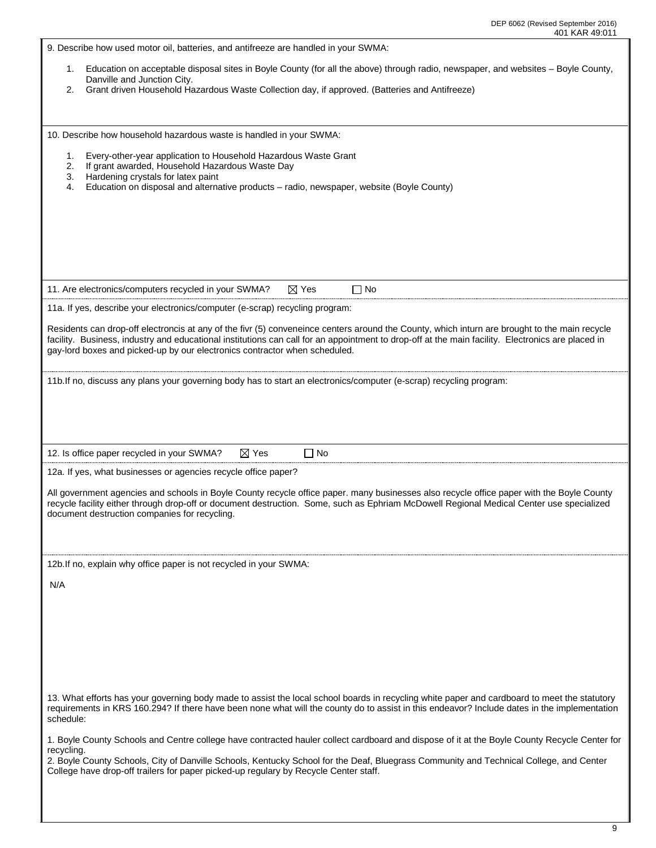| 9. Describe how used motor oil, batteries, and antifreeze are handled in your SWMA:                                                                                                                                                                                                          |  |  |  |  |
|----------------------------------------------------------------------------------------------------------------------------------------------------------------------------------------------------------------------------------------------------------------------------------------------|--|--|--|--|
|                                                                                                                                                                                                                                                                                              |  |  |  |  |
|                                                                                                                                                                                                                                                                                              |  |  |  |  |
| Education on acceptable disposal sites in Boyle County (for all the above) through radio, newspaper, and websites - Boyle County,<br>1.<br>Danville and Junction City.                                                                                                                       |  |  |  |  |
| Grant driven Household Hazardous Waste Collection day, if approved. (Batteries and Antifreeze)<br>2.                                                                                                                                                                                         |  |  |  |  |
|                                                                                                                                                                                                                                                                                              |  |  |  |  |
|                                                                                                                                                                                                                                                                                              |  |  |  |  |
| 10. Describe how household hazardous waste is handled in your SWMA:                                                                                                                                                                                                                          |  |  |  |  |
|                                                                                                                                                                                                                                                                                              |  |  |  |  |
| 1.<br>Every-other-year application to Household Hazardous Waste Grant                                                                                                                                                                                                                        |  |  |  |  |
| If grant awarded, Household Hazardous Waste Day<br>2.<br>Hardening crystals for latex paint<br>3.                                                                                                                                                                                            |  |  |  |  |
| Education on disposal and alternative products - radio, newspaper, website (Boyle County)<br>4.                                                                                                                                                                                              |  |  |  |  |
|                                                                                                                                                                                                                                                                                              |  |  |  |  |
|                                                                                                                                                                                                                                                                                              |  |  |  |  |
|                                                                                                                                                                                                                                                                                              |  |  |  |  |
|                                                                                                                                                                                                                                                                                              |  |  |  |  |
|                                                                                                                                                                                                                                                                                              |  |  |  |  |
|                                                                                                                                                                                                                                                                                              |  |  |  |  |
|                                                                                                                                                                                                                                                                                              |  |  |  |  |
| 11. Are electronics/computers recycled in your SWMA?<br>$\boxtimes$ Yes<br>$\Box$ No                                                                                                                                                                                                         |  |  |  |  |
| 11a. If yes, describe your electronics/computer (e-scrap) recycling program:                                                                                                                                                                                                                 |  |  |  |  |
|                                                                                                                                                                                                                                                                                              |  |  |  |  |
| Residents can drop-off electroncis at any of the fivr (5) conveneince centers around the County, which inturn are brought to the main recycle                                                                                                                                                |  |  |  |  |
| facility. Business, industry and educational institutions can call for an appointment to drop-off at the main facility. Electronics are placed in<br>gay-lord boxes and picked-up by our electronics contractor when scheduled.                                                              |  |  |  |  |
|                                                                                                                                                                                                                                                                                              |  |  |  |  |
|                                                                                                                                                                                                                                                                                              |  |  |  |  |
| 11b.If no, discuss any plans your governing body has to start an electronics/computer (e-scrap) recycling program:                                                                                                                                                                           |  |  |  |  |
|                                                                                                                                                                                                                                                                                              |  |  |  |  |
|                                                                                                                                                                                                                                                                                              |  |  |  |  |
|                                                                                                                                                                                                                                                                                              |  |  |  |  |
|                                                                                                                                                                                                                                                                                              |  |  |  |  |
|                                                                                                                                                                                                                                                                                              |  |  |  |  |
| 12. Is office paper recycled in your SWMA?<br>$\Box$ No<br>$\boxtimes$ Yes                                                                                                                                                                                                                   |  |  |  |  |
|                                                                                                                                                                                                                                                                                              |  |  |  |  |
| 12a. If yes, what businesses or agencies recycle office paper?                                                                                                                                                                                                                               |  |  |  |  |
| All government agencies and schools in Boyle County recycle office paper. many businesses also recycle office paper with the Boyle County                                                                                                                                                    |  |  |  |  |
| recycle facility either through drop-off or document destruction. Some, such as Ephriam McDowell Regional Medical Center use specialized                                                                                                                                                     |  |  |  |  |
| document destruction companies for recycling.                                                                                                                                                                                                                                                |  |  |  |  |
|                                                                                                                                                                                                                                                                                              |  |  |  |  |
|                                                                                                                                                                                                                                                                                              |  |  |  |  |
|                                                                                                                                                                                                                                                                                              |  |  |  |  |
| 12b. If no, explain why office paper is not recycled in your SWMA:                                                                                                                                                                                                                           |  |  |  |  |
| N/A                                                                                                                                                                                                                                                                                          |  |  |  |  |
|                                                                                                                                                                                                                                                                                              |  |  |  |  |
|                                                                                                                                                                                                                                                                                              |  |  |  |  |
|                                                                                                                                                                                                                                                                                              |  |  |  |  |
|                                                                                                                                                                                                                                                                                              |  |  |  |  |
|                                                                                                                                                                                                                                                                                              |  |  |  |  |
|                                                                                                                                                                                                                                                                                              |  |  |  |  |
|                                                                                                                                                                                                                                                                                              |  |  |  |  |
|                                                                                                                                                                                                                                                                                              |  |  |  |  |
| 13. What efforts has your governing body made to assist the local school boards in recycling white paper and cardboard to meet the statutory<br>requirements in KRS 160.294? If there have been none what will the county do to assist in this endeavor? Include dates in the implementation |  |  |  |  |
| schedule:                                                                                                                                                                                                                                                                                    |  |  |  |  |
|                                                                                                                                                                                                                                                                                              |  |  |  |  |
| 1. Boyle County Schools and Centre college have contracted hauler collect cardboard and dispose of it at the Boyle County Recycle Center for<br>recycling.                                                                                                                                   |  |  |  |  |
| 2. Boyle County Schools, City of Danville Schools, Kentucky School for the Deaf, Bluegrass Community and Technical College, and Center                                                                                                                                                       |  |  |  |  |
| College have drop-off trailers for paper picked-up regulary by Recycle Center staff.                                                                                                                                                                                                         |  |  |  |  |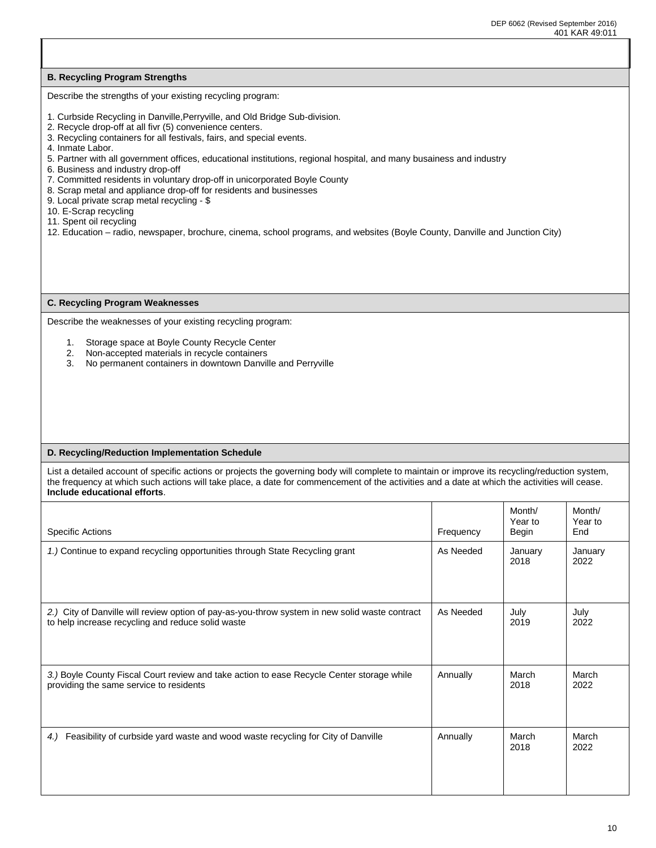I

### **B. Recycling Program Strengths**

Describe the strengths of your existing recycling program:

- 1. Curbside Recycling in Danville,Perryville, and Old Bridge Sub-division.
- 2. Recycle drop-off at all fivr (5) convenience centers.
- 3. Recycling containers for all festivals, fairs, and special events.
- 4. Inmate Labor.
- 5. Partner with all government offices, educational institutions, regional hospital, and many busainess and industry
- 6. Business and industry drop-off
- 7. Committed residents in voluntary drop-off in unicorporated Boyle County
- 8. Scrap metal and appliance drop-off for residents and businesses
- 9. Local private scrap metal recycling \$
- 10. E-Scrap recycling
- 11. Spent oil recycling
- 12. Education radio, newspaper, brochure, cinema, school programs, and websites (Boyle County, Danville and Junction City)

#### **C. Recycling Program Weaknesses**

Describe the weaknesses of your existing recycling program:

- 1. Storage space at Boyle County Recycle Center
- 2. Non-accepted materials in recycle containers
- 3. No permanent containers in downtown Danville and Perryville

#### **D. Recycling/Reduction Implementation Schedule**

List a detailed account of specific actions or projects the governing body will complete to maintain or improve its recycling/reduction system, the frequency at which such actions will take place, a date for commencement of the activities and a date at which the activities will cease. **Include educational efforts**.

| Specific Actions                                                                               | Frequency | Month/<br>Year to<br>Begin | Month/<br>Year to<br>End |
|------------------------------------------------------------------------------------------------|-----------|----------------------------|--------------------------|
| 1.) Continue to expand recycling opportunities through State Recycling grant                   | As Needed | January<br>2018            | January<br>2022          |
| 2.) City of Danville will review option of pay-as-you-throw system in new solid waste contract | As Needed | July                       | July                     |
| to help increase recycling and reduce solid waste                                              |           | 2019                       | 2022                     |
| 3.) Boyle County Fiscal Court review and take action to ease Recycle Center storage while      | Annually  | March                      | March                    |
| providing the same service to residents                                                        |           | 2018                       | 2022                     |
| Feasibility of curbside yard waste and wood waste recycling for City of Danville               | Annually  | March                      | March                    |
| 4.)                                                                                            |           | 2018                       | 2022                     |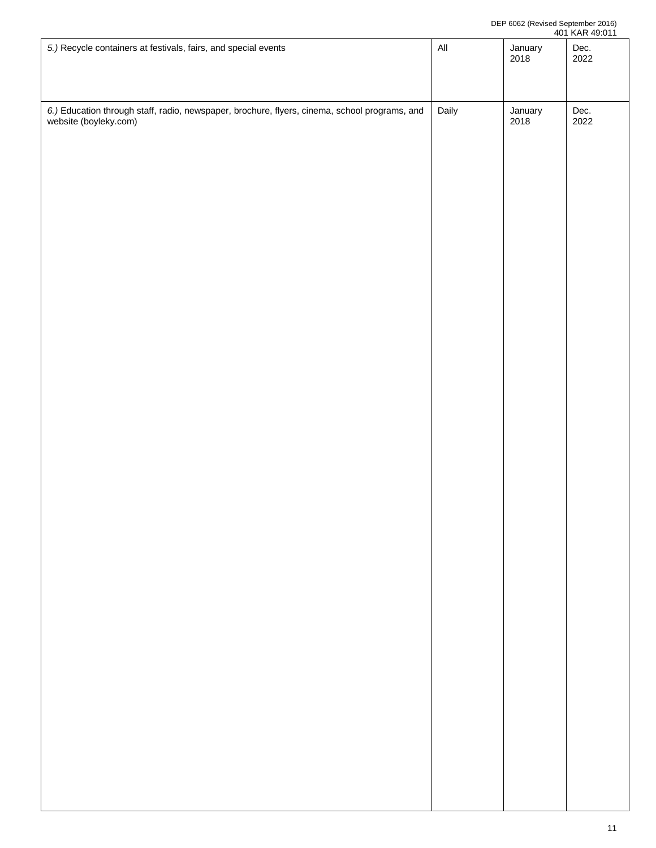| 5.) Recycle containers at festivals, fairs, and special events                                                      | $\mathsf{All}$ | January<br>2018 | Dec.<br>2022 |
|---------------------------------------------------------------------------------------------------------------------|----------------|-----------------|--------------|
| 6.) Education through staff, radio, newspaper, brochure, flyers, cinema, school programs, and website (boyleky.com) | Daily          | January<br>2018 | Dec.<br>2022 |
|                                                                                                                     |                |                 |              |
|                                                                                                                     |                |                 |              |
|                                                                                                                     |                |                 |              |
|                                                                                                                     |                |                 |              |
|                                                                                                                     |                |                 |              |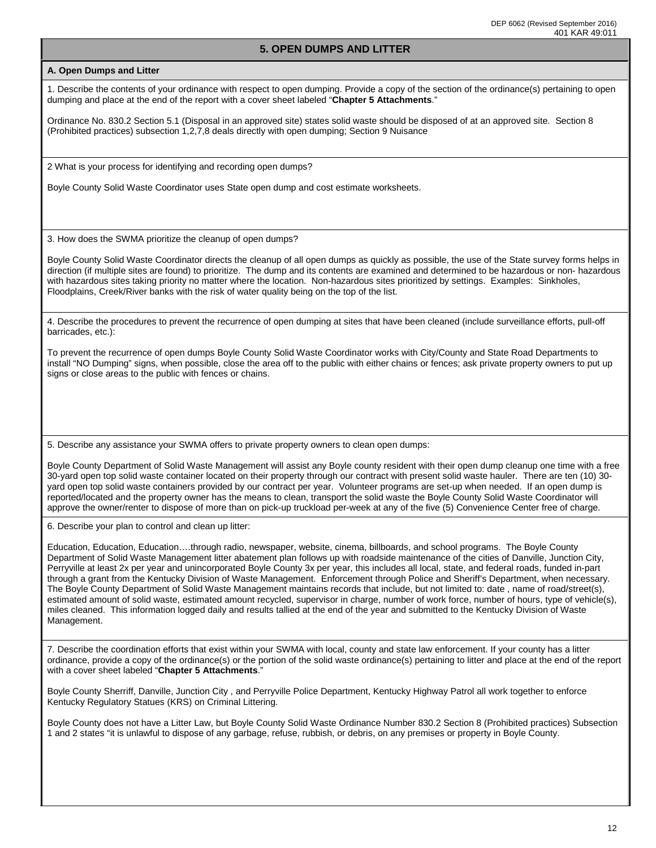## **5. OPEN DUMPS AND LITTER**

#### **A. Open Dumps and Litter**

1. Describe the contents of your ordinance with respect to open dumping. Provide a copy of the section of the ordinance(s) pertaining to open dumping and place at the end of the report with a cover sheet labeled "**Chapter 5 Attachments**."

Ordinance No. 830.2 Section 5.1 (Disposal in an approved site) states solid waste should be disposed of at an approved site. Section 8 (Prohibited practices) subsection 1,2,7,8 deals directly with open dumping; Section 9 Nuisance

2 What is your process for identifying and recording open dumps?

Boyle County Solid Waste Coordinator uses State open dump and cost estimate worksheets.

3. How does the SWMA prioritize the cleanup of open dumps?

Boyle County Solid Waste Coordinator directs the cleanup of all open dumps as quickly as possible, the use of the State survey forms helps in direction (if multiple sites are found) to prioritize. The dump and its contents are examined and determined to be hazardous or non- hazardous with hazardous sites taking priority no matter where the location. Non-hazardous sites prioritized by settings. Examples: Sinkholes, Floodplains, Creek/River banks with the risk of water quality being on the top of the list.

4. Describe the procedures to prevent the recurrence of open dumping at sites that have been cleaned (include surveillance efforts, pull-off barricades, etc.):

To prevent the recurrence of open dumps Boyle County Solid Waste Coordinator works with City/County and State Road Departments to install "NO Dumping" signs, when possible, close the area off to the public with either chains or fences; ask private property owners to put up signs or close areas to the public with fences or chains.

5. Describe any assistance your SWMA offers to private property owners to clean open dumps:

Boyle County Department of Solid Waste Management will assist any Boyle county resident with their open dump cleanup one time with a free 30-yard open top solid waste container located on their property through our contract with present solid waste hauler. There are ten (10) 30 yard open top solid waste containers provided by our contract per year. Volunteer programs are set-up when needed. If an open dump is reported/located and the property owner has the means to clean, transport the solid waste the Boyle County Solid Waste Coordinator will approve the owner/renter to dispose of more than on pick-up truckload per-week at any of the five (5) Convenience Center free of charge.

6. Describe your plan to control and clean up litter:

Education, Education, Education….through radio, newspaper, website, cinema, billboards, and school programs. The Boyle County Department of Solid Waste Management litter abatement plan follows up with roadside maintenance of the cities of Danville, Junction City, Perryville at least 2x per year and unincorporated Boyle County 3x per year, this includes all local, state, and federal roads, funded in-part through a grant from the Kentucky Division of Waste Management. Enforcement through Police and Sheriff's Department, when necessary. The Boyle County Department of Solid Waste Management maintains records that include, but not limited to: date , name of road/street(s), estimated amount of solid waste, estimated amount recycled, supervisor in charge, number of work force, number of hours, type of vehicle(s), miles cleaned. This information logged daily and results tallied at the end of the year and submitted to the Kentucky Division of Waste Management.

7. Describe the coordination efforts that exist within your SWMA with local, county and state law enforcement. If your county has a litter ordinance, provide a copy of the ordinance(s) or the portion of the solid waste ordinance(s) pertaining to litter and place at the end of the report with a cover sheet labeled "**Chapter 5 Attachments**."

Boyle County Sherriff, Danville, Junction City , and Perryville Police Department, Kentucky Highway Patrol all work together to enforce Kentucky Regulatory Statues (KRS) on Criminal Littering.

Boyle County does not have a Litter Law, but Boyle County Solid Waste Ordinance Number 830.2 Section 8 (Prohibited practices) Subsection 1 and 2 states "it is unlawful to dispose of any garbage, refuse, rubbish, or debris, on any premises or property in Boyle County.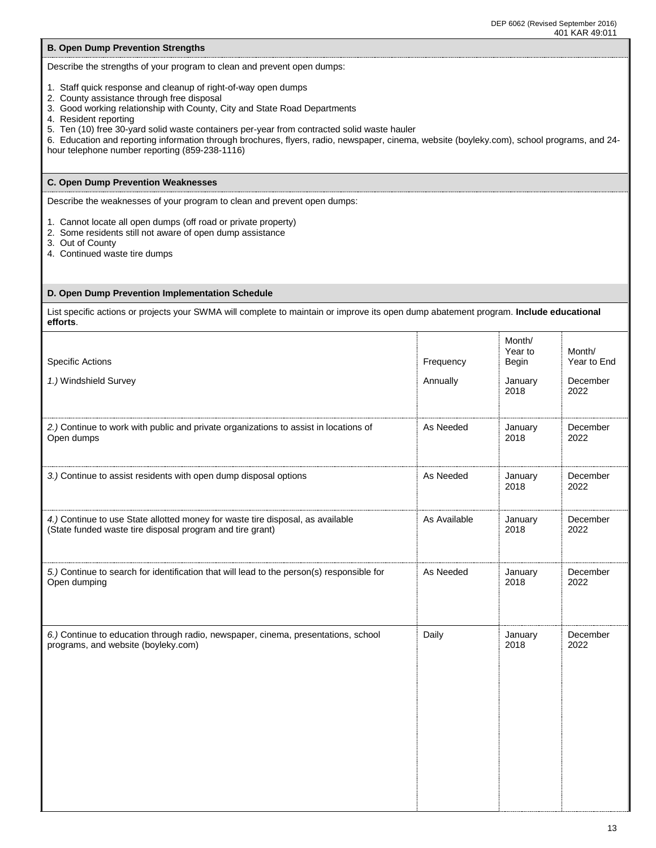| Describe the strengths of your program to clean and prevent open dumps: |  |  |  |  |
|-------------------------------------------------------------------------|--|--|--|--|

- 
- 1. Staff quick response and cleanup of right-of-way open dumps
- 2. County assistance through free disposal

**B. Open Dump Prevention Strengths**

- 3. Good working relationship with County, City and State Road Departments
- 4. Resident reporting
- 5. Ten (10) free 30-yard solid waste containers per-year from contracted solid waste hauler

6. Education and reporting information through brochures, flyers, radio, newspaper, cinema, website (boyleky.com), school programs, and 24 hour telephone number reporting (859-238-1116)

### **C. Open Dump Prevention Weaknesses**

Describe the weaknesses of your program to clean and prevent open dumps:

1. Cannot locate all open dumps (off road or private property)

- 2. Some residents still not aware of open dump assistance
- 3. Out of County

I

4. Continued waste tire dumps

#### **D. Open Dump Prevention Implementation Schedule**

List specific actions or projects your SWMA will complete to maintain or improve its open dump abatement program. **Include educational efforts**.

| <b>Specific Actions</b>                                                                   | Frequency    | Month/<br>Year to<br>Begin | Month/<br>Year to End |
|-------------------------------------------------------------------------------------------|--------------|----------------------------|-----------------------|
| 1.) Windshield Survey                                                                     | Annually     | January<br>2018            | December<br>2022      |
| 2.) Continue to work with public and private organizations to assist in locations of      | As Needed    | January                    | December              |
| Open dumps                                                                                |              | 2018                       | 2022                  |
| 3.) Continue to assist residents with open dump disposal options                          | As Needed    | January<br>2018            | December<br>2022      |
| 4.) Continue to use State allotted money for waste tire disposal, as available            | As Available | January                    | December              |
| (State funded waste tire disposal program and tire grant)                                 |              | 2018                       | 2022                  |
| 5.) Continue to search for identification that will lead to the person(s) responsible for | As Needed    | January                    | December              |
| Open dumping                                                                              |              | 2018                       | 2022                  |
| 6.) Continue to education through radio, newspaper, cinema, presentations, school         | Daily        | January                    | December              |
| programs, and website (boyleky.com)                                                       |              | 2018                       | 2022                  |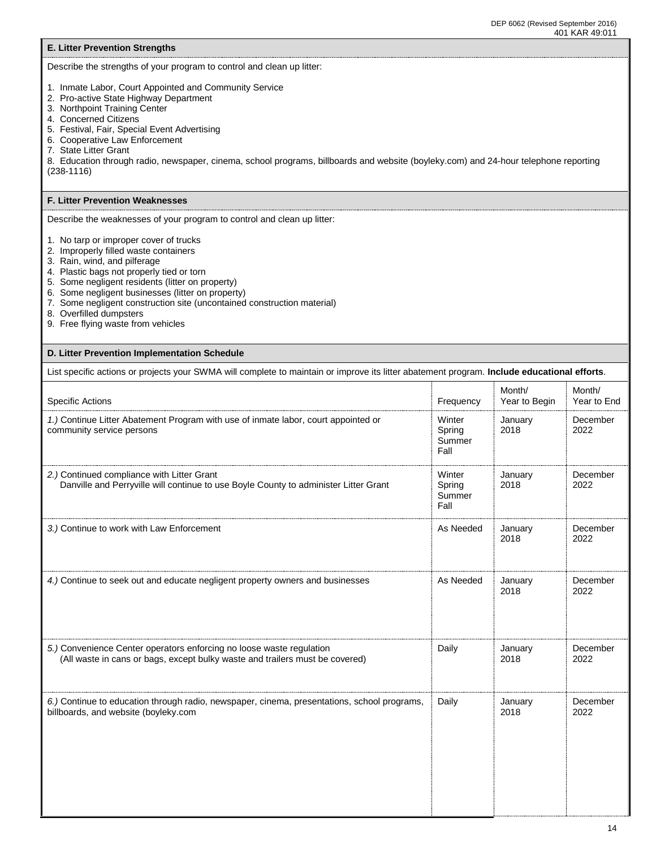#### **E. Litter Prevention Strengths** Describe the strengths of your program to control and clean up litter: 1. Inmate Labor, Court Appointed and Community Service 2. Pro-active State Highway Department 3. Northpoint Training Center 4. Concerned Citizens 5. Festival, Fair, Special Event Advertising 6. Cooperative Law Enforcement 7. State Litter Grant 8. Education through radio, newspaper, cinema, school programs, billboards and website (boyleky.com) and 24-hour telephone reporting (238-1116) **F. Litter Prevention Weaknesses** Describe the weaknesses of your program to control and clean up litter: 1. No tarp or improper cover of trucks 2. Improperly filled waste containers 3. Rain, wind, and pilferage 4. Plastic bags not properly tied or torn 5. Some negligent residents (litter on property) 6. Some negligent businesses (litter on property) 7. Some negligent construction site (uncontained construction material) 8. Overfilled dumpsters 9. Free flying waste from vehicles **D. Litter Prevention Implementation Schedule** List specific actions or projects your SWMA will complete to maintain or improve its litter abatement program. **Include educational efforts**. Specific Actions Frequency Specific Actions Frequency Specific Actions Frequency Specific Actions in the state of the state of the state of the state of the state of the state of the state of the state of the state of the Month/ Year to Begin Month/ Year to End *1.)* Continue Litter Abatement Program with use of inmate labor, court appointed or community service persons Winter Spring Summer Fall January 2018 December 2022 *2.)* Continued compliance with Litter Grant Danville and Perryville will continue to use Boyle County to administer Litter Grant **Winter** Spring **Summer** Fall January 2018 December 2022 3.) Continue to work with Law Enforcement **As Needed** January As Needed January 2018 December 2022 *4.)* Continue to seek out and educate negligent property owners and businesses As Needed As Needed January 2018 **December** 2022 *5.)* Convenience Center operators enforcing no loose waste regulation (All waste in cans or bags, except bulky waste and trailers must be covered) Daily **January** 2018 December 2022 *6.)* Continue to education through radio, newspaper, cinema, presentations, school programs, billboards, and website (boyleky.com Daily **January** 2018 December 2022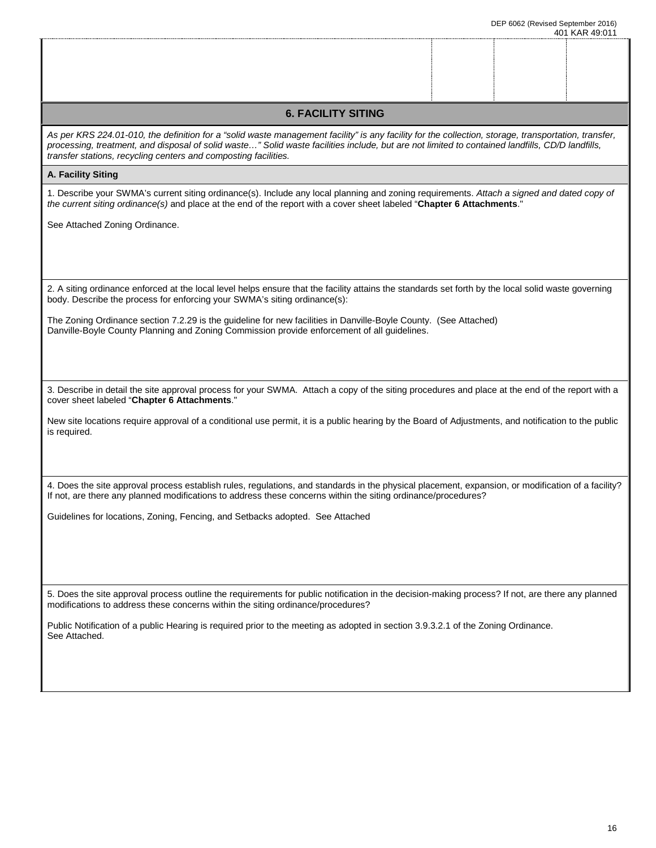| <b>6. FACILITY SITING</b>                                                                                                                                                                                                                                                                                                                                                  |  |  |
|----------------------------------------------------------------------------------------------------------------------------------------------------------------------------------------------------------------------------------------------------------------------------------------------------------------------------------------------------------------------------|--|--|
| As per KRS 224.01-010, the definition for a "solid waste management facility" is any facility for the collection, storage, transportation, transfer,<br>processing, treatment, and disposal of solid waste" Solid waste facilities include, but are not limited to contained landfills, CD/D landfills,<br>transfer stations, recycling centers and composting facilities. |  |  |
| A. Facility Siting                                                                                                                                                                                                                                                                                                                                                         |  |  |
| 1. Describe your SWMA's current siting ordinance(s). Include any local planning and zoning requirements. Attach a signed and dated copy of<br>the current siting ordinance(s) and place at the end of the report with a cover sheet labeled "Chapter 6 Attachments."                                                                                                       |  |  |
| See Attached Zoning Ordinance.                                                                                                                                                                                                                                                                                                                                             |  |  |
|                                                                                                                                                                                                                                                                                                                                                                            |  |  |
|                                                                                                                                                                                                                                                                                                                                                                            |  |  |
| 2. A siting ordinance enforced at the local level helps ensure that the facility attains the standards set forth by the local solid waste governing<br>body. Describe the process for enforcing your SWMA's siting ordinance(s):                                                                                                                                           |  |  |
| The Zoning Ordinance section 7.2.29 is the guideline for new facilities in Danville-Boyle County. (See Attached)                                                                                                                                                                                                                                                           |  |  |
| Danville-Boyle County Planning and Zoning Commission provide enforcement of all guidelines.                                                                                                                                                                                                                                                                                |  |  |
|                                                                                                                                                                                                                                                                                                                                                                            |  |  |
| 3. Describe in detail the site approval process for your SWMA. Attach a copy of the siting procedures and place at the end of the report with a<br>cover sheet labeled "Chapter 6 Attachments."                                                                                                                                                                            |  |  |
| New site locations require approval of a conditional use permit, it is a public hearing by the Board of Adjustments, and notification to the public                                                                                                                                                                                                                        |  |  |
| is required.                                                                                                                                                                                                                                                                                                                                                               |  |  |
|                                                                                                                                                                                                                                                                                                                                                                            |  |  |
| 4. Does the site approval process establish rules, regulations, and standards in the physical placement, expansion, or modification of a facility?<br>If not, are there any planned modifications to address these concerns within the siting ordinance/procedures?                                                                                                        |  |  |
| Guidelines for locations, Zoning, Fencing, and Setbacks adopted. See Attached                                                                                                                                                                                                                                                                                              |  |  |
|                                                                                                                                                                                                                                                                                                                                                                            |  |  |
|                                                                                                                                                                                                                                                                                                                                                                            |  |  |
| 5. Does the site approval process outline the requirements for public notification in the decision-making process? If not, are there any planned<br>modifications to address these concerns within the siting ordinance/procedures?                                                                                                                                        |  |  |
| Public Notification of a public Hearing is required prior to the meeting as adopted in section 3.9.3.2.1 of the Zoning Ordinance.                                                                                                                                                                                                                                          |  |  |
| See Attached.                                                                                                                                                                                                                                                                                                                                                              |  |  |
|                                                                                                                                                                                                                                                                                                                                                                            |  |  |
|                                                                                                                                                                                                                                                                                                                                                                            |  |  |
|                                                                                                                                                                                                                                                                                                                                                                            |  |  |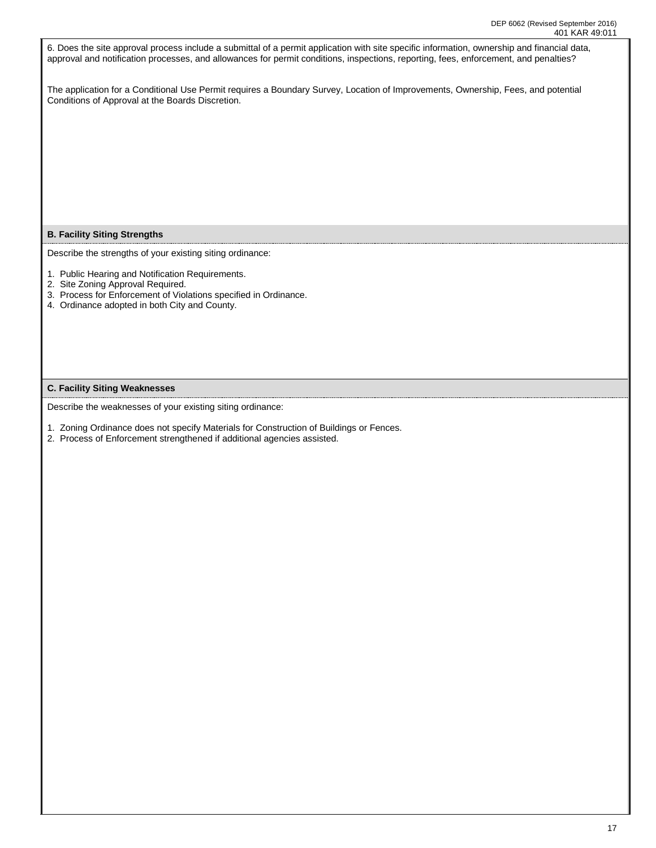| 401 KAR 49:011                                                                                                                                                                                                                                                                      |
|-------------------------------------------------------------------------------------------------------------------------------------------------------------------------------------------------------------------------------------------------------------------------------------|
| 6. Does the site approval process include a submittal of a permit application with site specific information, ownership and financial data,<br>approval and notification processes, and allowances for permit conditions, inspections, reporting, fees, enforcement, and penalties? |
| The application for a Conditional Use Permit requires a Boundary Survey, Location of Improvements, Ownership, Fees, and potential<br>Conditions of Approval at the Boards Discretion.                                                                                               |
|                                                                                                                                                                                                                                                                                     |
|                                                                                                                                                                                                                                                                                     |
|                                                                                                                                                                                                                                                                                     |
|                                                                                                                                                                                                                                                                                     |
| <b>B. Facility Siting Strengths</b>                                                                                                                                                                                                                                                 |
| Describe the strengths of your existing siting ordinance:                                                                                                                                                                                                                           |
| 1. Public Hearing and Notification Requirements.<br>2. Site Zoning Approval Required.                                                                                                                                                                                               |
| 3. Process for Enforcement of Violations specified in Ordinance.<br>4. Ordinance adopted in both City and County.                                                                                                                                                                   |
|                                                                                                                                                                                                                                                                                     |
|                                                                                                                                                                                                                                                                                     |
| <b>C. Facility Siting Weaknesses</b>                                                                                                                                                                                                                                                |
|                                                                                                                                                                                                                                                                                     |
| Describe the weaknesses of your existing siting ordinance:                                                                                                                                                                                                                          |
| 1. Zoning Ordinance does not specify Materials for Construction of Buildings or Fences.                                                                                                                                                                                             |
| 2. Process of Enforcement strengthened if additional agencies assisted.                                                                                                                                                                                                             |
|                                                                                                                                                                                                                                                                                     |
|                                                                                                                                                                                                                                                                                     |
|                                                                                                                                                                                                                                                                                     |
|                                                                                                                                                                                                                                                                                     |
|                                                                                                                                                                                                                                                                                     |
|                                                                                                                                                                                                                                                                                     |
|                                                                                                                                                                                                                                                                                     |
|                                                                                                                                                                                                                                                                                     |
|                                                                                                                                                                                                                                                                                     |
|                                                                                                                                                                                                                                                                                     |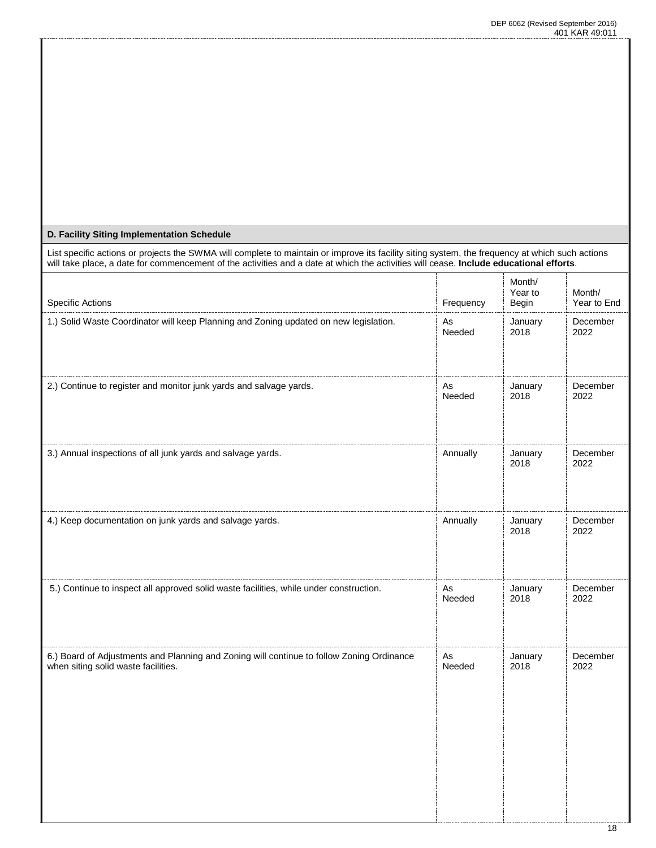# **D. Facility Siting Implementation Schedule**

| List specific actions or projects the SWMA will complete to maintain or improve its facility siting system, the frequency at which such actions<br>will take place, a date for commencement of the activities and a date at which the activities will cease. Include educational efforts. |           |                            |                       |
|-------------------------------------------------------------------------------------------------------------------------------------------------------------------------------------------------------------------------------------------------------------------------------------------|-----------|----------------------------|-----------------------|
| <b>Specific Actions</b>                                                                                                                                                                                                                                                                   | Frequency | Month/<br>Year to<br>Begin | Month/<br>Year to End |
| 1.) Solid Waste Coordinator will keep Planning and Zoning updated on new legislation.                                                                                                                                                                                                     | As        | January                    | December              |
|                                                                                                                                                                                                                                                                                           | Needed    | 2018                       | 2022                  |
| 2.) Continue to register and monitor junk yards and salvage yards.                                                                                                                                                                                                                        | As        | January                    | December              |
|                                                                                                                                                                                                                                                                                           | Needed    | 2018                       | 2022                  |
| 3.) Annual inspections of all junk yards and salvage yards.                                                                                                                                                                                                                               | Annually  | January<br>2018            | December<br>2022      |
| 4.) Keep documentation on junk yards and salvage yards.                                                                                                                                                                                                                                   | Annually  | January<br>2018            | December<br>2022      |
| 5.) Continue to inspect all approved solid waste facilities, while under construction.                                                                                                                                                                                                    | As        | January                    | December              |
|                                                                                                                                                                                                                                                                                           | Needed    | 2018                       | 2022                  |
| 6.) Board of Adjustments and Planning and Zoning will continue to follow Zoning Ordinance                                                                                                                                                                                                 | As        | January                    | December              |
| when siting solid waste facilities.                                                                                                                                                                                                                                                       | Needed    | 2018                       | 2022                  |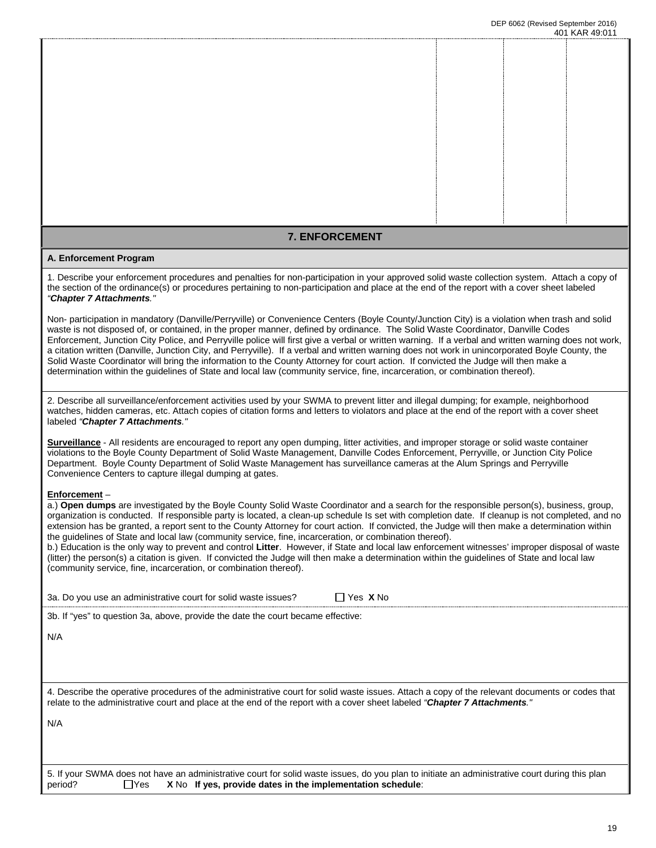### **7. ENFORCEMENT**

#### **A. Enforcement Program**

1. Describe your enforcement procedures and penalties for non-participation in your approved solid waste collection system. Attach a copy of the section of the ordinance(s) or procedures pertaining to non-participation and place at the end of the report with a cover sheet labeled *"Chapter 7 Attachments."*

Non- participation in mandatory (Danville/Perryville) or Convenience Centers (Boyle County/Junction City) is a violation when trash and solid waste is not disposed of, or contained, in the proper manner, defined by ordinance. The Solid Waste Coordinator, Danville Codes Enforcement, Junction City Police, and Perryville police will first give a verbal or written warning. If a verbal and written warning does not work, a citation written (Danville, Junction City, and Perryville). If a verbal and written warning does not work in unincorporated Boyle County, the Solid Waste Coordinator will bring the information to the County Attorney for court action. If convicted the Judge will then make a determination within the guidelines of State and local law (community service, fine, incarceration, or combination thereof).

2. Describe all surveillance/enforcement activities used by your SWMA to prevent litter and illegal dumping; for example, neighborhood watches, hidden cameras, etc. Attach copies of citation forms and letters to violators and place at the end of the report with a cover sheet labeled *"Chapter 7 Attachments."*

**Surveillance** - All residents are encouraged to report any open dumping, litter activities, and improper storage or solid waste container violations to the Boyle County Department of Solid Waste Management, Danville Codes Enforcement, Perryville, or Junction City Police Department. Boyle County Department of Solid Waste Management has surveillance cameras at the Alum Springs and Perryville Convenience Centers to capture illegal dumping at gates.

#### **Enforcement** –

a.) **Open dumps** are investigated by the Boyle County Solid Waste Coordinator and a search for the responsible person(s), business, group, organization is conducted. If responsible party is located, a clean-up schedule Is set with completion date. If cleanup is not completed, and no extension has be granted, a report sent to the County Attorney for court action. If convicted, the Judge will then make a determination within the guidelines of State and local law (community service, fine, incarceration, or combination thereof).

b.) Education is the only way to prevent and control **Litter**. However, if State and local law enforcement witnesses' improper disposal of waste (litter) the person(s) a citation is given. If convicted the Judge will then make a determination within the guidelines of State and local law (community service, fine, incarceration, or combination thereof).

3a. Do you use an administrative court for solid waste issues?  $\Box$  Yes X No

3b. If "yes" to question 3a, above, provide the date the court became effective:

N/A

4. Describe the operative procedures of the administrative court for solid waste issues. Attach a copy of the relevant documents or codes that relate to the administrative court and place at the end of the report with a cover sheet labeled *"Chapter 7 Attachments."* 

N/A

|         |  | 5. If your SWMA does not have an administrative court for solid waste issues, do you plan to initiate an administrative court during this plan |
|---------|--|------------------------------------------------------------------------------------------------------------------------------------------------|
| period? |  | $\Box$ Yes $\Box$ X No If yes, provide dates in the implementation schedule:                                                                   |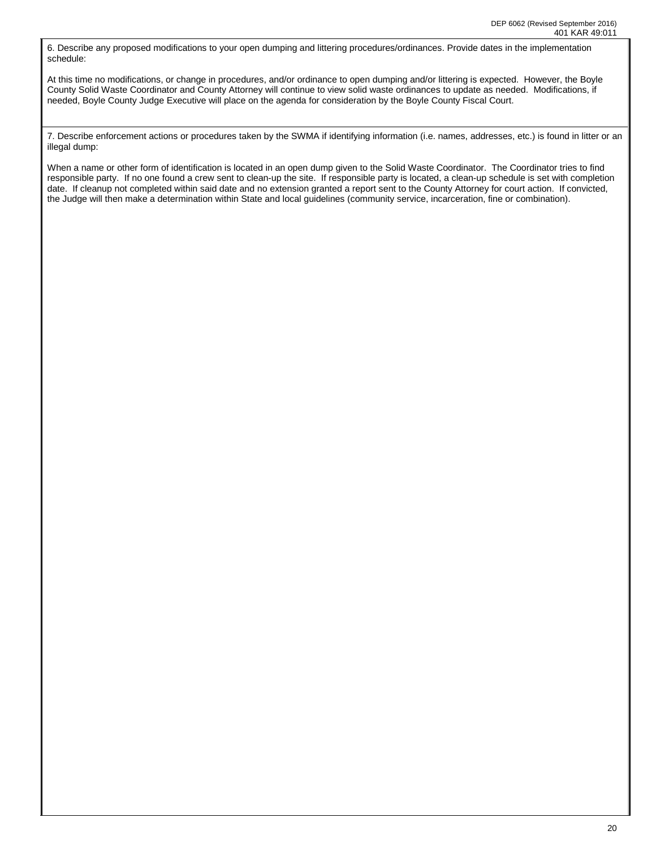6. Describe any proposed modifications to your open dumping and littering procedures/ordinances. Provide dates in the implementation schedule:

At this time no modifications, or change in procedures, and/or ordinance to open dumping and/or littering is expected. However, the Boyle County Solid Waste Coordinator and County Attorney will continue to view solid waste ordinances to update as needed. Modifications, if needed, Boyle County Judge Executive will place on the agenda for consideration by the Boyle County Fiscal Court.

7. Describe enforcement actions or procedures taken by the SWMA if identifying information (i.e. names, addresses, etc.) is found in litter or an illegal dump:

When a name or other form of identification is located in an open dump given to the Solid Waste Coordinator. The Coordinator tries to find responsible party. If no one found a crew sent to clean-up the site. If responsible party is located, a clean-up schedule is set with completion date. If cleanup not completed within said date and no extension granted a report sent to the County Attorney for court action. If convicted, the Judge will then make a determination within State and local guidelines (community service, incarceration, fine or combination).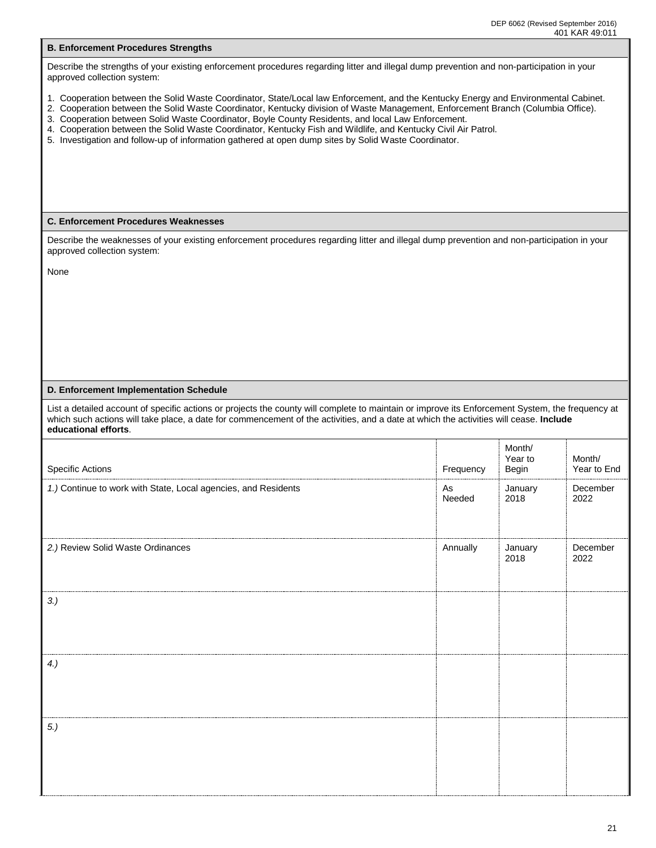| <b>B. Enforcement Procedures Strengths</b>                                                                                                                                                                                                                                                                                                                                                                                                                                                                                                                                                               |                                                                  |                 |                  |  |  |  |  |  |
|----------------------------------------------------------------------------------------------------------------------------------------------------------------------------------------------------------------------------------------------------------------------------------------------------------------------------------------------------------------------------------------------------------------------------------------------------------------------------------------------------------------------------------------------------------------------------------------------------------|------------------------------------------------------------------|-----------------|------------------|--|--|--|--|--|
| Describe the strengths of your existing enforcement procedures regarding litter and illegal dump prevention and non-participation in your<br>approved collection system:                                                                                                                                                                                                                                                                                                                                                                                                                                 |                                                                  |                 |                  |  |  |  |  |  |
| 1. Cooperation between the Solid Waste Coordinator, State/Local law Enforcement, and the Kentucky Energy and Environmental Cabinet.<br>2. Cooperation between the Solid Waste Coordinator, Kentucky division of Waste Management, Enforcement Branch (Columbia Office).<br>3. Cooperation between Solid Waste Coordinator, Boyle County Residents, and local Law Enforcement.<br>4. Cooperation between the Solid Waste Coordinator, Kentucky Fish and Wildlife, and Kentucky Civil Air Patrol.<br>5. Investigation and follow-up of information gathered at open dump sites by Solid Waste Coordinator. |                                                                  |                 |                  |  |  |  |  |  |
| <b>C. Enforcement Procedures Weaknesses</b>                                                                                                                                                                                                                                                                                                                                                                                                                                                                                                                                                              |                                                                  |                 |                  |  |  |  |  |  |
| Describe the weaknesses of your existing enforcement procedures regarding litter and illegal dump prevention and non-participation in your<br>approved collection system:                                                                                                                                                                                                                                                                                                                                                                                                                                |                                                                  |                 |                  |  |  |  |  |  |
| None                                                                                                                                                                                                                                                                                                                                                                                                                                                                                                                                                                                                     |                                                                  |                 |                  |  |  |  |  |  |
|                                                                                                                                                                                                                                                                                                                                                                                                                                                                                                                                                                                                          |                                                                  |                 |                  |  |  |  |  |  |
|                                                                                                                                                                                                                                                                                                                                                                                                                                                                                                                                                                                                          |                                                                  |                 |                  |  |  |  |  |  |
|                                                                                                                                                                                                                                                                                                                                                                                                                                                                                                                                                                                                          |                                                                  |                 |                  |  |  |  |  |  |
|                                                                                                                                                                                                                                                                                                                                                                                                                                                                                                                                                                                                          |                                                                  |                 |                  |  |  |  |  |  |
| D. Enforcement Implementation Schedule                                                                                                                                                                                                                                                                                                                                                                                                                                                                                                                                                                   |                                                                  |                 |                  |  |  |  |  |  |
| List a detailed account of specific actions or projects the county will complete to maintain or improve its Enforcement System, the frequency at<br>which such actions will take place, a date for commencement of the activities, and a date at which the activities will cease. Include<br>educational efforts.                                                                                                                                                                                                                                                                                        |                                                                  |                 |                  |  |  |  |  |  |
| <b>Specific Actions</b>                                                                                                                                                                                                                                                                                                                                                                                                                                                                                                                                                                                  | Month/<br>Year to<br>Month/<br>Frequency<br>Year to End<br>Begin |                 |                  |  |  |  |  |  |
| 1.) Continue to work with State, Local agencies, and Residents                                                                                                                                                                                                                                                                                                                                                                                                                                                                                                                                           | As<br>Needed                                                     | January<br>2018 | December<br>2022 |  |  |  |  |  |
| 2.) Review Solid Waste Ordinances                                                                                                                                                                                                                                                                                                                                                                                                                                                                                                                                                                        | Annually                                                         | January<br>2018 | December<br>2022 |  |  |  |  |  |
| 3.)                                                                                                                                                                                                                                                                                                                                                                                                                                                                                                                                                                                                      |                                                                  |                 |                  |  |  |  |  |  |
| 4.                                                                                                                                                                                                                                                                                                                                                                                                                                                                                                                                                                                                       |                                                                  |                 |                  |  |  |  |  |  |
|                                                                                                                                                                                                                                                                                                                                                                                                                                                                                                                                                                                                          |                                                                  |                 |                  |  |  |  |  |  |
|                                                                                                                                                                                                                                                                                                                                                                                                                                                                                                                                                                                                          |                                                                  |                 |                  |  |  |  |  |  |
| $5.$ )                                                                                                                                                                                                                                                                                                                                                                                                                                                                                                                                                                                                   |                                                                  |                 |                  |  |  |  |  |  |
|                                                                                                                                                                                                                                                                                                                                                                                                                                                                                                                                                                                                          |                                                                  |                 |                  |  |  |  |  |  |
|                                                                                                                                                                                                                                                                                                                                                                                                                                                                                                                                                                                                          |                                                                  |                 |                  |  |  |  |  |  |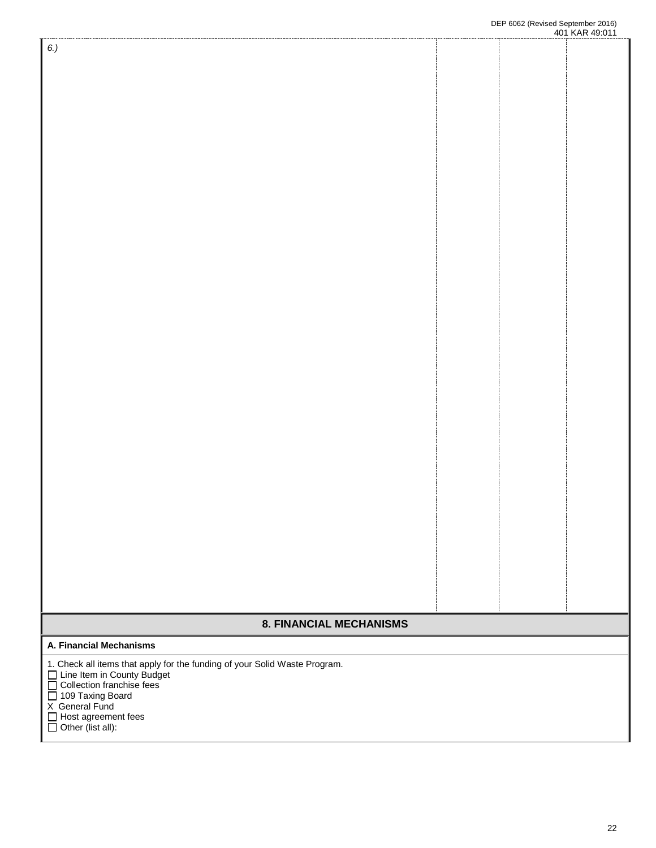# **8. FINANCIAL MECHANISMS**

## **A. Financial Mechanisms**

1. Check all items that apply for the funding of your Solid Waste Program.

Line Item in County Budget D

Collection franchise fees D

109 Taxing Board D

X General Fund

Host agreement fees D

Other (list all): D

*6.)*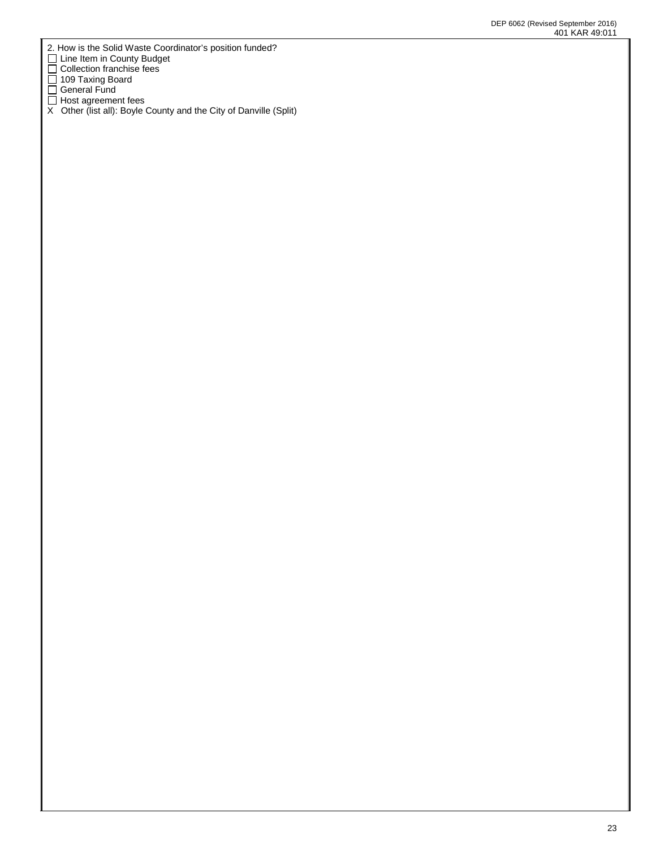- 2. How is the Solid Waste Coordinator's position funded?
- Line Item in County Budget  $\Box$
- Collection franchise fees D
- 109 Taxing Board  $\Box$
- General Fund  $\Box$
- Host agreement fees D
- X Other (list all): Boyle County and the City of Danville (Split)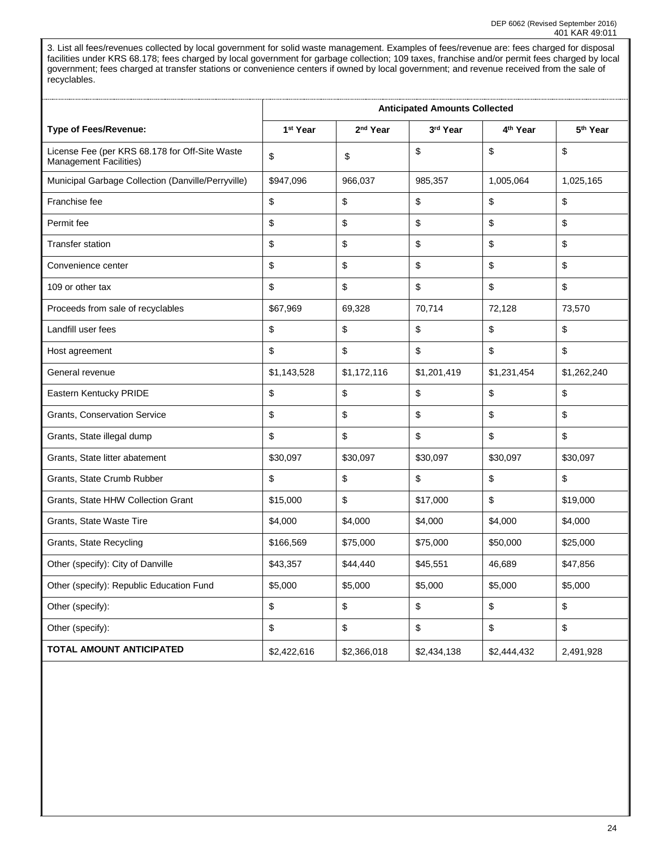3. List all fees/revenues collected by local government for solid waste management. Examples of fees/revenue are: fees charged for disposal facilities under KRS 68.178; fees charged by local government for garbage collection; 109 taxes, franchise and/or permit fees charged by local government; fees charged at transfer stations or convenience centers if owned by local government; and revenue received from the sale of recyclables.

|                                                                                 | <b>Anticipated Amounts Collected</b> |                      |             |                      |                      |
|---------------------------------------------------------------------------------|--------------------------------------|----------------------|-------------|----------------------|----------------------|
| <b>Type of Fees/Revenue:</b>                                                    | 1 <sup>st</sup> Year                 | 2 <sup>nd</sup> Year | 3rd Year    | 4 <sup>th</sup> Year | 5 <sup>th</sup> Year |
| License Fee (per KRS 68.178 for Off-Site Waste<br><b>Management Facilities)</b> | \$                                   | \$                   | \$          | \$                   | \$                   |
| Municipal Garbage Collection (Danville/Perryville)                              | \$947,096                            | 966,037              | 985,357     | 1,005,064            | 1,025,165            |
| Franchise fee                                                                   | \$                                   | \$                   | \$          | \$                   | \$                   |
| Permit fee                                                                      | \$                                   | \$                   | \$          | \$                   | \$                   |
| <b>Transfer station</b>                                                         | \$                                   | \$                   | \$          | \$                   | \$                   |
| Convenience center                                                              | \$                                   | \$                   | \$          | \$                   | \$                   |
| 109 or other tax                                                                | \$                                   | \$                   | \$          | \$                   | \$                   |
| Proceeds from sale of recyclables                                               | \$67,969                             | 69,328               | 70,714      | 72,128               | 73,570               |
| Landfill user fees                                                              | \$                                   | \$                   | \$          | \$                   | \$                   |
| Host agreement                                                                  | \$                                   | \$                   | \$          | \$                   | \$                   |
| General revenue                                                                 | \$1,143,528                          | \$1,172,116          | \$1,201,419 | \$1,231,454          | \$1,262,240          |
| Eastern Kentucky PRIDE                                                          | \$                                   | \$                   | \$          | \$                   | \$                   |
| Grants, Conservation Service                                                    | \$                                   | \$                   | \$          | \$                   | \$                   |
| Grants, State illegal dump                                                      | \$                                   | \$                   | \$          | \$                   | \$                   |
| Grants, State litter abatement                                                  | \$30,097                             | \$30,097             | \$30,097    | \$30,097             | \$30,097             |
| Grants, State Crumb Rubber                                                      | \$                                   | \$                   | \$          | \$                   | \$                   |
| Grants, State HHW Collection Grant                                              | \$15,000                             | \$                   | \$17,000    | \$                   | \$19,000             |
| Grants, State Waste Tire                                                        | \$4,000                              | \$4,000              | \$4,000     | \$4,000              | \$4,000              |
| Grants, State Recycling                                                         | \$166,569                            | \$75,000             | \$75,000    | \$50,000             | \$25,000             |
| Other (specify): City of Danville                                               | \$43,357                             | \$44,440             | \$45,551    | 46,689               | \$47,856             |
| Other (specify): Republic Education Fund                                        | \$5,000                              | \$5,000              | \$5,000     | \$5,000              | \$5,000              |
| Other (specify):                                                                | \$                                   | \$                   | \$          | \$                   | \$                   |
| Other (specify):                                                                | \$                                   | \$                   | \$          | \$                   | \$                   |
| TOTAL AMOUNT ANTICIPATED                                                        | \$2,422,616                          | \$2,366,018          | \$2,434,138 | \$2,444,432          | 2,491,928            |